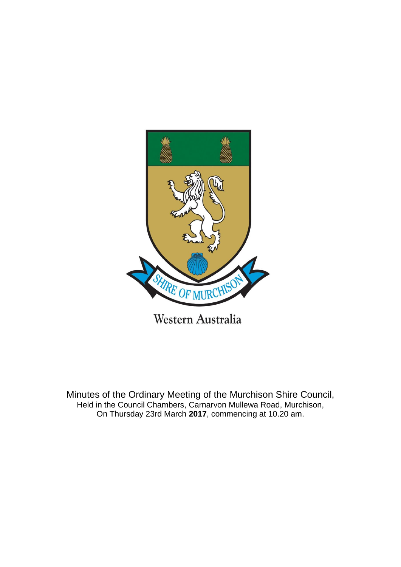

Minutes of the Ordinary Meeting of the Murchison Shire Council, Held in the Council Chambers, Carnarvon Mullewa Road, Murchison, On Thursday 23rd March **2017**, commencing at 10.20 am.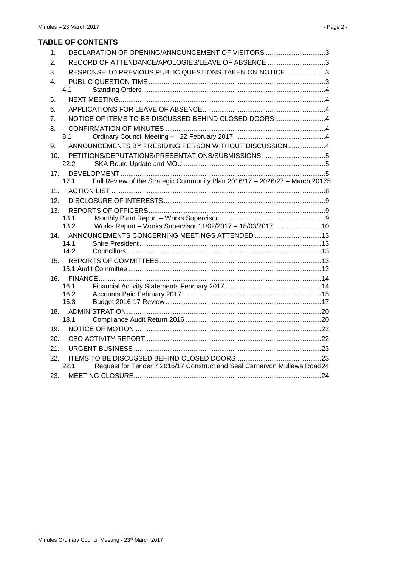# **TABLE OF CONTENTS**

| DECLARATION OF OPENING/ANNOUNCEMENT OF VISITORS 3<br>1.                             |
|-------------------------------------------------------------------------------------|
| RECORD OF ATTENDANCE/APOLOGIES/LEAVE OF ABSENCE 3<br>2.                             |
| RESPONSE TO PREVIOUS PUBLIC QUESTIONS TAKEN ON NOTICE 3<br>3.                       |
| 4.                                                                                  |
| 41                                                                                  |
| 5.                                                                                  |
| 6.                                                                                  |
| NOTICE OF ITEMS TO BE DISCUSSED BEHIND CLOSED DOORS 4<br>7 <sub>1</sub>             |
| 8.                                                                                  |
| 8.1                                                                                 |
| ANNOUNCEMENTS BY PRESIDING PERSON WITHOUT DISCUSSION4<br>9.                         |
| 10 <sub>1</sub>                                                                     |
| 22.2                                                                                |
| 17.                                                                                 |
| Full Review of the Strategic Community Plan 2016/17 - 2026/27 - March 20175<br>17.1 |
| 11 <sub>1</sub>                                                                     |
| 12.                                                                                 |
| 13.                                                                                 |
| 13.1<br>13.2                                                                        |
| Works Report - Works Supervisor 11/02/2017 - 18/03/201710                           |
| 14.<br>14.1                                                                         |
| 142                                                                                 |
| 15.                                                                                 |
|                                                                                     |
| 16.                                                                                 |
| 16.1                                                                                |
| 16.2                                                                                |
| 16.3                                                                                |
| 18.<br>18.1                                                                         |
|                                                                                     |
| 19.                                                                                 |
| 20.                                                                                 |
| 21.                                                                                 |
| 22.                                                                                 |
| Request for Tender 7.2016/17 Construct and Seal Carnarvon Mullewa Road24<br>22.1    |
| 23.                                                                                 |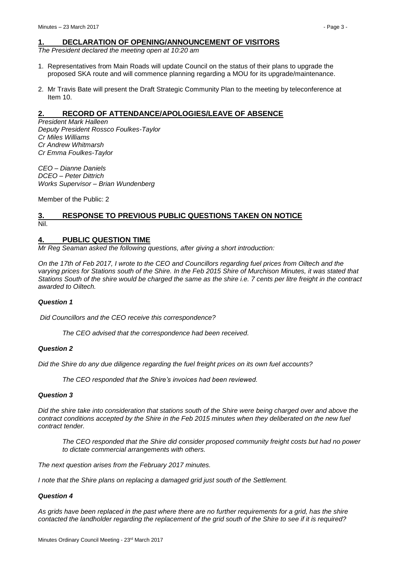# <span id="page-2-0"></span>**1. DECLARATION OF OPENING/ANNOUNCEMENT OF VISITORS**

*The President declared the meeting open at 10:20 am*

- 1. Representatives from Main Roads will update Council on the status of their plans to upgrade the proposed SKA route and will commence planning regarding a MOU for its upgrade/maintenance.
- 2. Mr Travis Bate will present the Draft Strategic Community Plan to the meeting by teleconference at Item 10.

# <span id="page-2-1"></span>**2. RECORD OF ATTENDANCE/APOLOGIES/LEAVE OF ABSENCE**

*President Mark Halleen Deputy President Rossco Foulkes-Taylor Cr Miles Williams Cr Andrew Whitmarsh Cr Emma Foulkes-Taylor*

*CEO – Dianne Daniels DCEO – Peter Dittrich Works Supervisor – Brian Wundenberg*

Member of the Public: 2

# <span id="page-2-2"></span>**3. RESPONSE TO PREVIOUS PUBLIC QUESTIONS TAKEN ON NOTICE** Nil.

# <span id="page-2-3"></span>**4. PUBLIC QUESTION TIME**

*Mr Reg Seaman asked the following questions, after giving a short introduction:*

*On the 17th of Feb 2017, I wrote to the CEO and Councillors regarding fuel prices from Oiltech and the*  varying prices for Stations south of the Shire. In the Feb 2015 Shire of Murchison Minutes, it was stated that *Stations South of the shire would be charged the same as the shire i.e. 7 cents per litre freight in the contract awarded to Oiltech.*

# *Question 1*

*Did Councillors and the CEO receive this correspondence?*

*The CEO advised that the correspondence had been received.*

#### *Question 2*

*Did the Shire do any due diligence regarding the fuel freight prices on its own fuel accounts?*

*The CEO responded that the Shire's invoices had been reviewed.*

#### *Question 3*

*Did the shire take into consideration that stations south of the Shire were being charged over and above the contract conditions accepted by the Shire in the Feb 2015 minutes when they deliberated on the new fuel contract tender.*

*The CEO responded that the Shire did consider proposed community freight costs but had no power to dictate commercial arrangements with others.*

*The next question arises from the February 2017 minutes.*

*I* note that the Shire plans on replacing a damaged grid just south of the Settlement.

# *Question 4*

*As grids have been replaced in the past where there are no further requirements for a grid, has the shire contacted the landholder regarding the replacement of the grid south of the Shire to see if it is required?*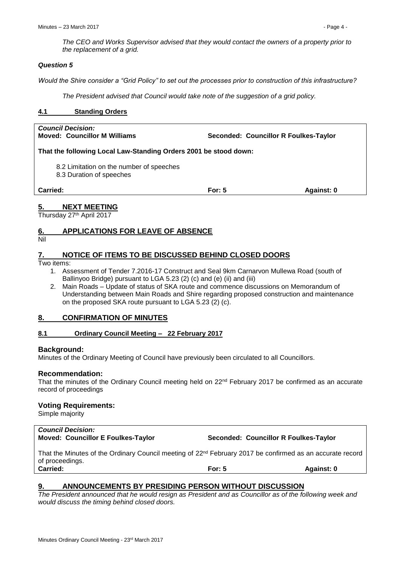*The CEO and Works Supervisor advised that they would contact the owners of a property prior to the replacement of a grid.*

# *Question 5*

*Would the Shire consider a "Grid Policy" to set out the processes prior to construction of this infrastructure?*

*The President advised that Council would take note of the suggestion of a grid policy.*

# <span id="page-3-0"></span>**4.1 Standing Orders**

*Council Decision:*

**Seconded: Councillor R Foulkes-Taylor** 

**That the following Local Law-Standing Orders 2001 be stood down:**

- 8.2 Limitation on the number of speeches
- 8.3 Duration of speeches

**Carried: For: 5 Against: 0**

# <span id="page-3-1"></span>**5. NEXT MEETING**

Thursday 27<sup>th</sup> April 2017

# <span id="page-3-2"></span>**6. APPLICATIONS FOR LEAVE OF ABSENCE**

```
Nil
```
# <span id="page-3-3"></span>**7. NOTICE OF ITEMS TO BE DISCUSSED BEHIND CLOSED DOORS**

# Two items:

- 1. Assessment of Tender 7.2016-17 Construct and Seal 9km Carnarvon Mullewa Road (south of Ballinyoo Bridge) pursuant to LGA 5.23 (2) (c) and (e) (ii) and (iii)
- 2. Main Roads Update of status of SKA route and commence discussions on Memorandum of Understanding between Main Roads and Shire regarding proposed construction and maintenance on the proposed SKA route pursuant to LGA 5.23 (2) (c).

# <span id="page-3-4"></span>**8. CONFIRMATION OF MINUTES**

# <span id="page-3-5"></span>**8.1 Ordinary Council Meeting – 22 February 2017**

# **Background:**

Minutes of the Ordinary Meeting of Council have previously been circulated to all Councillors.

# **Recommendation:**

That the minutes of the Ordinary Council meeting held on 22nd February 2017 be confirmed as an accurate record of proceedings

# **Voting Requirements:**

Simple majority

# *Council Decision:*

**Moved: Councillor E Foulkes-Taylor Seconded: Councillor R Foulkes-Taylor**

That the Minutes of the Ordinary Council meeting of 22<sup>nd</sup> February 2017 be confirmed as an accurate record of proceedings. **Carried: For: 5 Against: 0**

# <span id="page-3-6"></span>**9. ANNOUNCEMENTS BY PRESIDING PERSON WITHOUT DISCUSSION**

*The President announced that he would resign as President and as Councillor as of the following week and would discuss the timing behind closed doors.*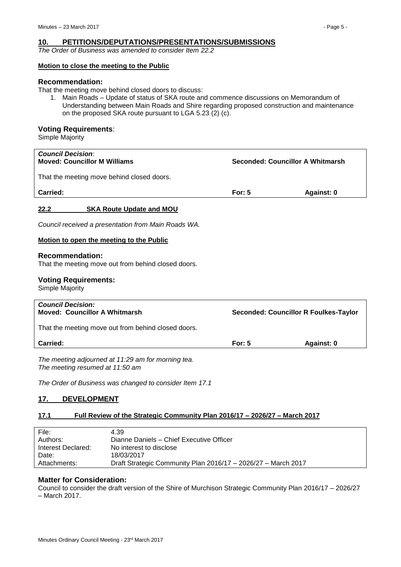# <span id="page-4-0"></span>**10. PETITIONS/DEPUTATIONS/PRESENTATIONS/SUBMISSIONS**

*The Order of Business was amended to consider Item 22.2*

#### **Motion to close the meeting to the Public**

#### **Recommendation:**

That the meeting move behind closed doors to discuss:

1. Main Roads – Update of status of SKA route and commence discussions on Memorandum of Understanding between Main Roads and Shire regarding proposed construction and maintenance on the proposed SKA route pursuant to LGA 5.23 (2) (c).

# **Voting Requirements**:

Simple Majority

<span id="page-4-1"></span>

| <b>Council Decision:</b><br><b>Moved: Councillor M Williams</b>               | Seconded: Councillor A Whitmarsh             |            |  |
|-------------------------------------------------------------------------------|----------------------------------------------|------------|--|
| That the meeting move behind closed doors.                                    |                                              |            |  |
| Carried:                                                                      | For: $5$                                     | Against: 0 |  |
| 22.2<br><b>SKA Route Update and MOU</b>                                       |                                              |            |  |
| Council received a presentation from Main Roads WA.                           |                                              |            |  |
| Motion to open the meeting to the Public                                      |                                              |            |  |
| <b>Recommendation:</b><br>That the meeting move out from behind closed doors. |                                              |            |  |
| <b>Voting Requirements:</b><br>Simple Majority                                |                                              |            |  |
| <b>Council Decision:</b><br><b>Moved: Councillor A Whitmarsh</b>              | <b>Seconded: Councillor R Foulkes-Taylor</b> |            |  |
| That the meeting move out from behind closed doors.                           |                                              |            |  |
| Carried:                                                                      | For: $5$                                     | Against: 0 |  |

*The meeting adjourned at 11:29 am for morning tea. The meeting resumed at 11:50 am*

*The Order of Business was changed to consider Item 17.1*

# <span id="page-4-2"></span>**17. DEVELOPMENT**

# <span id="page-4-3"></span>**17.1 Full Review of the Strategic Community Plan 2016/17 – 2026/27 – March 2017**

| File:              | 4.39                                                          |
|--------------------|---------------------------------------------------------------|
| Authors:           | Dianne Daniels - Chief Executive Officer                      |
| Interest Declared: | No interest to disclose                                       |
| Date:              | 18/03/2017                                                    |
| Attachments:       | Draft Strategic Community Plan 2016/17 - 2026/27 - March 2017 |

# **Matter for Consideration:**

Council to consider the draft version of the Shire of Murchison Strategic Community Plan 2016/17 – 2026/27 – March 2017.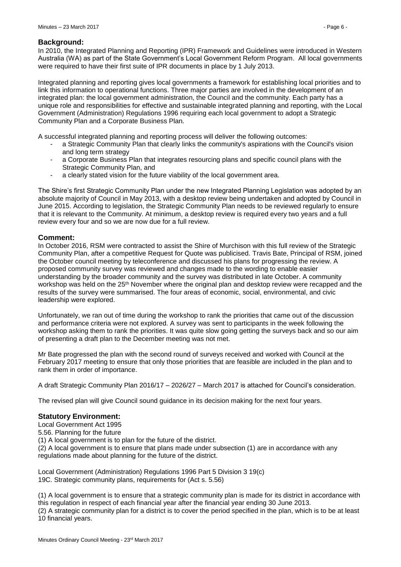# **Background:**

In 2010, the Integrated Planning and Reporting (IPR) Framework and Guidelines were introduced in Western Australia (WA) as part of the State Government's Local Government Reform Program. All local governments were required to have their first suite of IPR documents in place by 1 July 2013.

Integrated planning and reporting gives local governments a framework for establishing local priorities and to link this information to operational functions. Three major parties are involved in the development of an integrated plan: the local government administration, the Council and the community. Each party has a unique role and responsibilities for effective and sustainable integrated planning and reporting, with the Local Government (Administration) Regulations 1996 requiring each local government to adopt a Strategic Community Plan and a Corporate Business Plan.

A successful integrated planning and reporting process will deliver the following outcomes:

- a Strategic Community Plan that clearly links the community's aspirations with the Council's vision and long term strategy
- a Corporate Business Plan that integrates resourcing plans and specific council plans with the Strategic Community Plan, and
- a clearly stated vision for the future viability of the local government area.

The Shire's first Strategic Community Plan under the new Integrated Planning Legislation was adopted by an absolute majority of Council in May 2013, with a desktop review being undertaken and adopted by Council in June 2015. According to legislation, the Strategic Community Plan needs to be reviewed regularly to ensure that it is relevant to the Community. At minimum, a desktop review is required every two years and a full review every four and so we are now due for a full review.

#### **Comment:**

In October 2016, RSM were contracted to assist the Shire of Murchison with this full review of the Strategic Community Plan, after a competitive Request for Quote was publicised. Travis Bate, Principal of RSM, joined the October council meeting by teleconference and discussed his plans for progressing the review. A proposed community survey was reviewed and changes made to the wording to enable easier understanding by the broader community and the survey was distributed in late October. A community workshop was held on the 25<sup>th</sup> November where the original plan and desktop review were recapped and the results of the survey were summarised. The four areas of economic, social, environmental, and civic leadership were explored.

Unfortunately, we ran out of time during the workshop to rank the priorities that came out of the discussion and performance criteria were not explored. A survey was sent to participants in the week following the workshop asking them to rank the priorities. It was quite slow going getting the surveys back and so our aim of presenting a draft plan to the December meeting was not met.

Mr Bate progressed the plan with the second round of surveys received and worked with Council at the February 2017 meeting to ensure that only those priorities that are feasible are included in the plan and to rank them in order of importance.

A draft Strategic Community Plan 2016/17 – 2026/27 – March 2017 is attached for Council's consideration.

The revised plan will give Council sound guidance in its decision making for the next four years.

# **Statutory Environment:**

Local Government Act 1995

5.56. Planning for the future

(1) A local government is to plan for the future of the district.

(2) A local government is to ensure that plans made under subsection (1) are in accordance with any regulations made about planning for the future of the district.

Local Government (Administration) Regulations 1996 Part 5 Division 3 19(c) 19C. Strategic community plans, requirements for (Act s. 5.56)

(1) A local government is to ensure that a strategic community plan is made for its district in accordance with this regulation in respect of each financial year after the financial year ending 30 June 2013.

(2) A strategic community plan for a district is to cover the period specified in the plan, which is to be at least 10 financial years.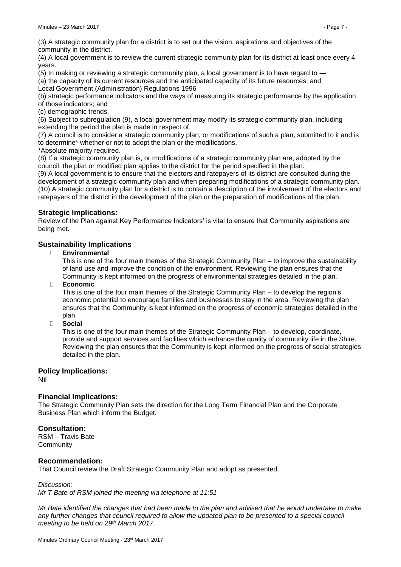(3) A strategic community plan for a district is to set out the vision, aspirations and objectives of the community in the district.

(4) A local government is to review the current strategic community plan for its district at least once every 4 years.

(5) In making or reviewing a strategic community plan, a local government is to have regard to —

(a) the capacity of its current resources and the anticipated capacity of its future resources; and Local Government (Administration) Regulations 1996

(b) strategic performance indicators and the ways of measuring its strategic performance by the application of those indicators; and

(c) demographic trends.

(6) Subject to subregulation (9), a local government may modify its strategic community plan, including extending the period the plan is made in respect of.

(7) A council is to consider a strategic community plan, or modifications of such a plan, submitted to it and is to determine\* whether or not to adopt the plan or the modifications.

\*Absolute majority required.

(8) If a strategic community plan is, or modifications of a strategic community plan are, adopted by the council, the plan or modified plan applies to the district for the period specified in the plan.

(9) A local government is to ensure that the electors and ratepayers of its district are consulted during the development of a strategic community plan and when preparing modifications of a strategic community plan. (10) A strategic community plan for a district is to contain a description of the involvement of the electors and ratepayers of the district in the development of the plan or the preparation of modifications of the plan.

# **Strategic Implications:**

Review of the Plan against Key Performance Indicators' is vital to ensure that Community aspirations are being met.

# **Sustainability Implications**

**Environmental**

This is one of the four main themes of the Strategic Community Plan – to improve the sustainability of land use and improve the condition of the environment. Reviewing the plan ensures that the Community is kept informed on the progress of environmental strategies detailed in the plan.

**Economic**

This is one of the four main themes of the Strategic Community Plan – to develop the region's economic potential to encourage families and businesses to stay in the area. Reviewing the plan ensures that the Community is kept informed on the progress of economic strategies detailed in the plan.

**Social**

This is one of the four main themes of the Strategic Community Plan – to develop, coordinate, provide and support services and facilities which enhance the quality of community life in the Shire. Reviewing the plan ensures that the Community is kept informed on the progress of social strategies detailed in the plan.

# **Policy Implications:**

Nil

# **Financial Implications:**

The Strategic Community Plan sets the direction for the Long Term Financial Plan and the Corporate Business Plan which inform the Budget.

# **Consultation:**

RSM – Travis Bate **Community** 

# **Recommendation:**

That Council review the Draft Strategic Community Plan and adopt as presented.

*Discussion:*

*Mr T Bate of RSM joined the meeting via telephone at 11:51*

*Mr Bate identified the changes that had been made to the plan and advised that he would undertake to make*  any further changes that council required to allow the updated plan to be presented to a special council *meeting to be held on 29th March 2017.*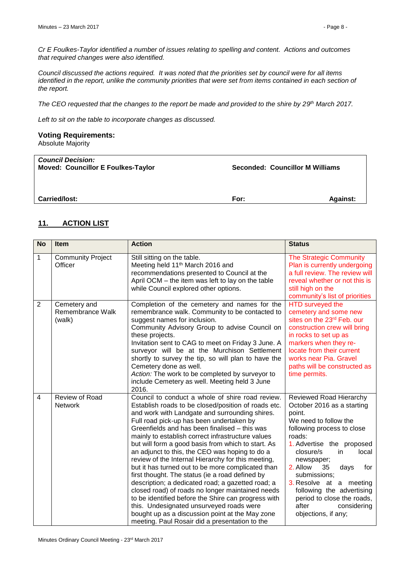*Cr E Foulkes-Taylor identified a number of issues relating to spelling and content. Actions and outcomes that required changes were also identified.*

*Council discussed the actions required. It was noted that the priorities set by council were for all items identified in the report, unlike the community priorities that were set from items contained in each section of the report.*

*The CEO requested that the changes to the report be made and provided to the shire by 29 th March 2017.*

*Left to sit on the table to incorporate changes as discussed.*

# **Voting Requirements:**

Absolute Majority

| <b>Council Decision:</b><br><b>Moved: Councillor E Foulkes-Taylor</b> | Seconded: Councillor M Williams |                 |
|-----------------------------------------------------------------------|---------------------------------|-----------------|
| Carried/lost:                                                         | For:                            | <b>Against:</b> |

# <span id="page-7-0"></span>**11. ACTION LIST**

| <b>No</b>      | Item                                       | <b>Action</b>                                                                                                                                                                                                                                                                                                                                                                                                                                                                                                                                                                                                                                                                                                                                                                                                                                                                                      | <b>Status</b>                                                                                                                                                                                                                                                                                                                                                                                  |
|----------------|--------------------------------------------|----------------------------------------------------------------------------------------------------------------------------------------------------------------------------------------------------------------------------------------------------------------------------------------------------------------------------------------------------------------------------------------------------------------------------------------------------------------------------------------------------------------------------------------------------------------------------------------------------------------------------------------------------------------------------------------------------------------------------------------------------------------------------------------------------------------------------------------------------------------------------------------------------|------------------------------------------------------------------------------------------------------------------------------------------------------------------------------------------------------------------------------------------------------------------------------------------------------------------------------------------------------------------------------------------------|
| $\mathbf{1}$   | <b>Community Project</b><br>Officer        | Still sitting on the table.<br>Meeting held 11 <sup>th</sup> March 2016 and<br>recommendations presented to Council at the<br>April OCM - the item was left to lay on the table<br>while Council explored other options.                                                                                                                                                                                                                                                                                                                                                                                                                                                                                                                                                                                                                                                                           | <b>The Strategic Community</b><br>Plan is currently undergoing<br>a full review. The review will<br>reveal whether or not this is<br>still high on the<br>community's list of priorities                                                                                                                                                                                                       |
| $\overline{2}$ | Cemetery and<br>Remembrance Walk<br>(walk) | Completion of the cemetery and names for the<br>remembrance walk. Community to be contacted to<br>suggest names for inclusion.<br>Community Advisory Group to advise Council on<br>these projects.<br>Invitation sent to CAG to meet on Friday 3 June. A<br>surveyor will be at the Murchison Settlement<br>shortly to survey the tip, so will plan to have the<br>Cemetery done as well.<br>Action: The work to be completed by surveyor to<br>include Cemetery as well. Meeting held 3 June<br>2016.                                                                                                                                                                                                                                                                                                                                                                                             | HTD surveyed the<br>cemetery and some new<br>sites on the 23rd Feb. our<br>construction crew will bring<br>in rocks to set up as<br>markers when they re-<br>locate from their current<br>works near Pia. Gravel<br>paths will be constructed as<br>time permits.                                                                                                                              |
| $\overline{4}$ | Review of Road<br><b>Network</b>           | Council to conduct a whole of shire road review.<br>Establish roads to be closed/position of roads etc.<br>and work with Landgate and surrounding shires.<br>Full road pick-up has been undertaken by<br>Greenfields and has been finalised - this was<br>mainly to establish correct infrastructure values<br>but will form a good basis from which to start. As<br>an adjunct to this, the CEO was hoping to do a<br>review of the Internal Hierarchy for this meeting,<br>but it has turned out to be more complicated than<br>first thought. The status (ie a road defined by<br>description; a dedicated road; a gazetted road; a<br>closed road) of roads no longer maintained needs<br>to be identified before the Shire can progress with<br>this. Undesignated unsurveyed roads were<br>bought up as a discussion point at the May zone<br>meeting. Paul Rosair did a presentation to the | Reviewed Road Hierarchy<br>October 2016 as a starting<br>point.<br>We need to follow the<br>following process to close<br>roads:<br>1. Advertise the proposed<br>closure/s<br>in.<br>local<br>newspaper;<br>2. Allow<br>35<br>days<br>for<br>submissions;<br>3. Resolve at a meeting<br>following the advertising<br>period to close the roads,<br>after<br>considering<br>objections, if any; |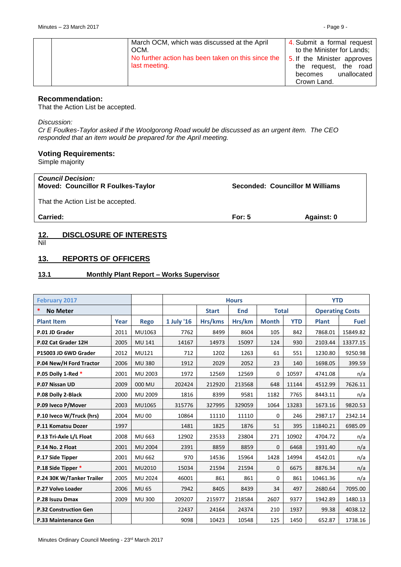| March OCM, which was discussed at the April        | 4. Submit a formal request  |
|----------------------------------------------------|-----------------------------|
| OCM.                                               | to the Minister for Lands;  |
| No further action has been taken on this since the | 5. If the Minister approves |
| last meeting.                                      | the request, the road       |
|                                                    | unallocated<br>becomes      |
|                                                    | Crown Land.                 |

#### **Recommendation:**

That the Action List be accepted.

#### *Discussion:*

*Cr E Foulkes-Taylor asked if the Woolgorong Road would be discussed as an urgent item. The CEO responded that an item would be prepared for the April meeting.*

# **Voting Requirements:**

Simple majority

| <b>Council Decision:</b><br><b>Moved: Councillor R Foulkes-Taylor</b> |          | Seconded: Councillor M Williams |
|-----------------------------------------------------------------------|----------|---------------------------------|
| That the Action List be accepted.                                     |          |                                 |
| <b>Carried:</b>                                                       | For: $5$ | Against: 0                      |

# <span id="page-8-0"></span>**12. DISCLOSURE OF INTERESTS**

Nil

# <span id="page-8-1"></span>**13. REPORTS OF OFFICERS**

#### <span id="page-8-2"></span>**13.1 Monthly Plant Report – Works Supervisor**

| <b>February 2017</b>         |      |                | <b>Hours</b>                               |         |        | <b>YTD</b>             |            |              |             |
|------------------------------|------|----------------|--------------------------------------------|---------|--------|------------------------|------------|--------------|-------------|
| *<br><b>No Meter</b>         |      |                | <b>Total</b><br><b>Start</b><br><b>End</b> |         |        | <b>Operating Costs</b> |            |              |             |
| <b>Plant Item</b>            | Year | <b>Rego</b>    | 1 July '16                                 | Hrs/kms | Hrs/km | <b>Month</b>           | <b>YTD</b> | <b>Plant</b> | <b>Fuel</b> |
| P.01 JD Grader               | 2011 | MU1063         | 7762                                       | 8499    | 8604   | 105                    | 842        | 7868.01      | 15849.82    |
| P.02 Cat Grader 12H          | 2005 | <b>MU 141</b>  | 14167                                      | 14973   | 15097  | 124                    | 930        | 2103.44      | 13377.15    |
| P15003 JD 6WD Grader         | 2012 | MU121          | 712                                        | 1202    | 1263   | 61                     | 551        | 1230.80      | 9250.98     |
| P.04 New/H Ford Tractor      | 2006 | <b>MU380</b>   | 1912                                       | 2029    | 2052   | 23                     | 140        | 1698.05      | 399.59      |
| P.05 Dolly 1-Red *           | 2001 | MU 2003        | 1972                                       | 12569   | 12569  | $\mathbf 0$            | 10597      | 4741.08      | n/a         |
| P.07 Nissan UD               | 2009 | 000 MU         | 202424                                     | 212920  | 213568 | 648                    | 11144      | 4512.99      | 7626.11     |
| P.08 Dolly 2-Black           | 2000 | MU 2009        | 1816                                       | 8399    | 9581   | 1182                   | 7765       | 8443.11      | n/a         |
| P.09 Iveco P/Mover           | 2003 | MU1065         | 315776                                     | 327995  | 329059 | 1064                   | 13283      | 1673.16      | 9820.53     |
| P.10 Iveco W/Truck (hrs)     | 2004 | <b>MU00</b>    | 10864                                      | 11110   | 11110  | $\Omega$               | 246        | 2987.17      | 2342.14     |
| P.11 Komatsu Dozer           | 1997 |                | 1481                                       | 1825    | 1876   | 51                     | 395        | 11840.21     | 6985.09     |
| P.13 Tri-Axle L/L Float      | 2008 | MU 663         | 12902                                      | 23533   | 23804  | 271                    | 10902      | 4704.72      | n/a         |
| P.14 No. 2 Float             | 2001 | <b>MU 2004</b> | 2391                                       | 8859    | 8859   | $\mathbf{0}$           | 6468       | 1931.40      | n/a         |
| P.17 Side Tipper             | 2001 | MU 662         | 970                                        | 14536   | 15964  | 1428                   | 14994      | 4542.01      | n/a         |
| P.18 Side Tipper *           | 2001 | MU2010         | 15034                                      | 21594   | 21594  | $\mathbf{0}$           | 6675       | 8876.34      | n/a         |
| P.24 30K W/Tanker Trailer    | 2005 | MU 2024        | 46001                                      | 861     | 861    | $\mathbf 0$            | 861        | 10461.36     | n/a         |
| P.27 Volvo Loader            | 2006 | <b>MU 65</b>   | 7942                                       | 8405    | 8439   | 34                     | 497        | 2680.64      | 7095.00     |
| P.28 Isuzu Dmax              | 2009 | <b>MU300</b>   | 209207                                     | 215977  | 218584 | 2607                   | 9377       | 1942.89      | 1480.13     |
| <b>P.32 Construction Gen</b> |      |                | 22437                                      | 24164   | 24374  | 210                    | 1937       | 99.38        | 4038.12     |
| P.33 Maintenance Gen         |      |                | 9098                                       | 10423   | 10548  | 125                    | 1450       | 652.87       | 1738.16     |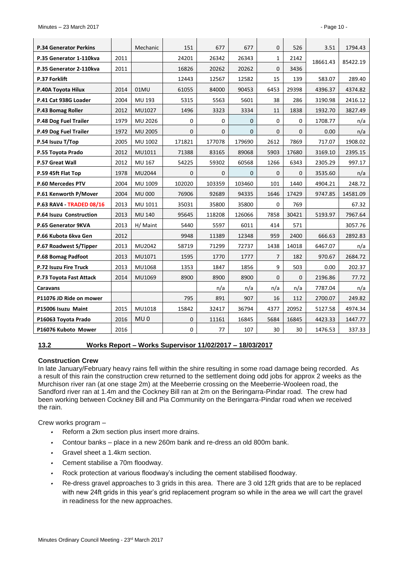| <b>P.34 Generator Perkins</b>   |      | Mechanic        | 151    | 677          | 677      | 0            | 526          | 3.51     | 1794.43  |
|---------------------------------|------|-----------------|--------|--------------|----------|--------------|--------------|----------|----------|
| P.35 Generator 1-110kva         | 2011 |                 | 24201  | 26342        | 26343    | 1            | 2142         |          |          |
| P.35 Generator 2-110kva         | 2011 |                 | 16826  | 20262        | 20262    | $\mathbf{0}$ | 3436         | 18661.43 | 85422.19 |
| P.37 Forklift                   |      |                 | 12443  | 12567        | 12582    | 15           | 139          | 583.07   | 289.40   |
| P.40A Toyota Hilux              | 2014 | 01MU            | 61055  | 84000        | 90453    | 6453         | 29398        | 4396.37  | 4374.82  |
| P.41 Cat 938G Loader            | 2004 | MU 193          | 5315   | 5563         | 5601     | 38           | 286          | 3190.98  | 2416.12  |
| P.43 Bomag Roller               | 2012 | MU1027          | 1496   | 3323         | 3334     | 11           | 1838         | 1932.70  | 3827.49  |
| P.48 Dog Fuel Trailer           | 1979 | MU 2026         | 0      | 0            | $\Omega$ | $\mathbf 0$  | $\Omega$     | 1708.77  | n/a      |
| P.49 Dog Fuel Trailer           | 1972 | MU 2005         | 0      | $\mathbf{0}$ | 0        | $\mathbf 0$  | $\mathbf{0}$ | 0.00     | n/a      |
| P.54 Isuzu T/Top                | 2005 | MU 1002         | 171821 | 177078       | 179690   | 2612         | 7869         | 717.07   | 1908.02  |
| P.55 Toyota Prado               | 2012 | MU1011          | 71388  | 83165        | 89068    | 5903         | 17680        | 3169.10  | 2395.15  |
| <b>P.57 Great Wall</b>          | 2012 | MU 167          | 54225  | 59302        | 60568    | 1266         | 6343         | 2305.29  | 997.17   |
| P.59 45ft Flat Top              | 1978 | MU2044          | 0      | 0            | 0        | $\mathbf{0}$ | $\mathbf{0}$ | 3535.60  | n/a      |
| P.60 Mercedes PTV               | 2004 | MU 1009         | 102020 | 103359       | 103460   | 101          | 1440         | 4904.21  | 248.72   |
| P.61 Kenworth P/Mover           | 2004 | <b>MU 000</b>   | 76906  | 92689        | 94335    | 1646         | 17429        | 9747.85  | 14581.09 |
| <b>P.63 RAV4 - TRADED 08/16</b> | 2013 | MU 1011         | 35031  | 35800        | 35800    | $\Omega$     | 769          |          | 67.32    |
| P.64 Isuzu Construction         | 2013 | <b>MU 140</b>   | 95645  | 118208       | 126066   | 7858         | 30421        | 5193.97  | 7967.64  |
| P.65 Generator 9KVA             | 2013 | H/ Maint        | 5440   | 5597         | 6011     | 414          | 571          |          | 3057.76  |
| P.66 Kubota 6kva Gen            | 2012 |                 | 9948   | 11389        | 12348    | 959          | 2400         | 666.63   | 2892.83  |
| P.67 Roadwest S/Tipper          | 2013 | MU2042          | 58719  | 71299        | 72737    | 1438         | 14018        | 6467.07  | n/a      |
| P.68 Bomag Padfoot              | 2013 | MU1071          | 1595   | 1770         | 1777     | 7            | 182          | 970.67   | 2684.72  |
| P.72 Isuzu Fire Truck           | 2013 | MU1068          | 1353   | 1847         | 1856     | 9            | 503          | 0.00     | 202.37   |
| P.73 Toyota Fast Attack         | 2014 | MU1069          | 8900   | 8900         | 8900     | $\mathbf{0}$ | $\Omega$     | 2196.86  | 77.72    |
| Caravans                        |      |                 |        | n/a          | n/a      | n/a          | n/a          | 7787.04  | n/a      |
| P11076 JD Ride on mower         |      |                 | 795    | 891          | 907      | 16           | 112          | 2700.07  | 249.82   |
| P15006 Isuzu Maint              | 2015 | MU1018          | 15842  | 32417        | 36794    | 4377         | 20952        | 5127.58  | 4974.34  |
| P16063 Toyota Prado             | 2016 | MU <sub>0</sub> | 0      | 11161        | 16845    | 5684         | 16845        | 4423.33  | 1447.77  |
| P16076 Kuboto Mower             | 2016 |                 | 0      | 77           | 107      | 30           | 30           | 1476.53  | 337.33   |

# <span id="page-9-0"></span>**13.2 Works Report – Works Supervisor 11/02/2017 – 18/03/2017**

#### **Construction Crew**

In late January/February heavy rains fell within the shire resulting in some road damage being recorded. As a result of this rain the construction crew returned to the settlement doing odd jobs for approx 2 weeks as the Murchison river ran (at one stage 2m) at the Meeberrie crossing on the Meeberrie-Wooleen road, the Sandford river ran at 1.4m and the Cockney Bill ran at 2m on the Beringarra-Pindar road. The crew had been working between Cockney Bill and Pia Community on the Beringarra-Pindar road when we received the rain.

Crew works program –

- *•* Reform a 2km section plus insert more drains.
- *•* Contour banks place in a new 260m bank and re-dress an old 800m bank.
- *•* Gravel sheet a 1.4km section.
- *•* Cement stabilise a 70m floodway.
- *•* Rock protection at various floodway's including the cement stabilised floodway.
- *•* Re-dress gravel approaches to 3 grids in this area. There are 3 old 12ft grids that are to be replaced with new 24ft grids in this year's grid replacement program so while in the area we will cart the gravel in readiness for the new approaches.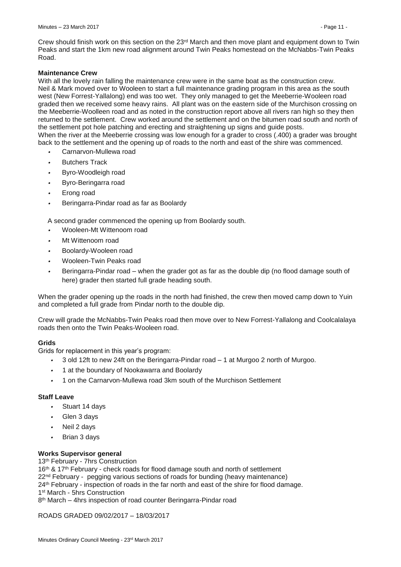Crew should finish work on this section on the 23<sup>rd</sup> March and then move plant and equipment down to Twin Peaks and start the 1km new road alignment around Twin Peaks homestead on the McNabbs-Twin Peaks Road.

# **Maintenance Crew**

With all the lovely rain falling the maintenance crew were in the same boat as the construction crew. Neil & Mark moved over to Wooleen to start a full maintenance grading program in this area as the south west (New Forrest-Yallalong) end was too wet. They only managed to get the Meeberrie-Wooleen road graded then we received some heavy rains. All plant was on the eastern side of the Murchison crossing on the Meeberrie-Woolleen road and as noted in the construction report above all rivers ran high so they then returned to the settlement. Crew worked around the settlement and on the bitumen road south and north of the settlement pot hole patching and erecting and straightening up signs and guide posts. When the river at the Meeberrie crossing was low enough for a grader to cross (.400) a grader was brought back to the settlement and the opening up of roads to the north and east of the shire was commenced.

- *•* Carnarvon-Mullewa road
- *•* Butchers Track
- *•* Byro-Woodleigh road
- *•* Byro-Beringarra road
- *•* Erong road
- *•* Beringarra-Pindar road as far as Boolardy

A second grader commenced the opening up from Boolardy south.

- *•* Wooleen-Mt Wittenoom road
- *•* Mt Wittenoom road
- *•* Boolardy-Wooleen road
- *•* Wooleen-Twin Peaks road
- *•* Beringarra-Pindar road when the grader got as far as the double dip (no flood damage south of here) grader then started full grade heading south.

When the grader opening up the roads in the north had finished, the crew then moved camp down to Yuin and completed a full grade from Pindar north to the double dip.

Crew will grade the McNabbs-Twin Peaks road then move over to New Forrest-Yallalong and Coolcalalaya roads then onto the Twin Peaks-Wooleen road.

# **Grids**

Grids for replacement in this year's program:

- *•* 3 old 12ft to new 24ft on the Beringarra-Pindar road 1 at Murgoo 2 north of Murgoo.
- *•* 1 at the boundary of Nookawarra and Boolardy
- *•* 1 on the Carnarvon-Mullewa road 3km south of the Murchison Settlement

# **Staff Leave**

- *•* Stuart 14 days
- *•* Glen 3 days
- *•* Neil 2 days
- *•* Brian 3 days

# **Works Supervisor general**

13<sup>th</sup> February - 7hrs Construction

16<sup>th</sup> & 17<sup>th</sup> February - check roads for flood damage south and north of settlement 22<sup>nd</sup> February - pegging various sections of roads for bunding (heavy maintenance) 24<sup>th</sup> February - inspection of roads in the far north and east of the shire for flood damage. 1 st March - 5hrs Construction

8 th March – 4hrs inspection of road counter Beringarra-Pindar road

ROADS GRADED 09/02/2017 – 18/03/2017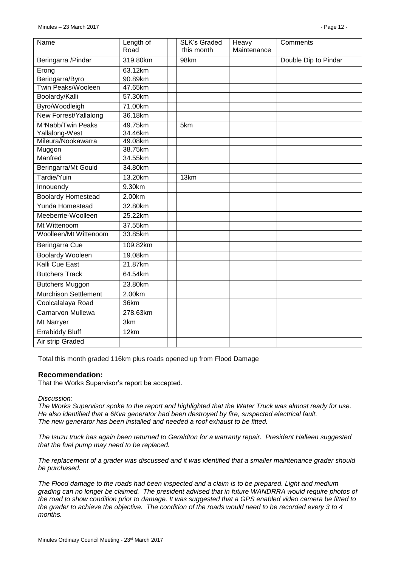| Name                           | Length of             | <b>SLK's Graded</b> | Heavy       | Comments             |
|--------------------------------|-----------------------|---------------------|-------------|----------------------|
|                                | Road                  | this month          | Maintenance |                      |
| Beringarra / Pindar            | 319.80km              | 98km                |             | Double Dip to Pindar |
| Erong                          | $\overline{63.12}$ km |                     |             |                      |
| Beringarra/Byro                | 90.89km               |                     |             |                      |
| Twin Peaks/Wooleen             | 47.65km               |                     |             |                      |
| Boolardy/Kalli                 | 57.30km               |                     |             |                      |
| Byro/Woodleigh                 | 71.00km               |                     |             |                      |
| New Forrest/Yallalong          | 36.18km               |                     |             |                      |
| M <sup>c</sup> Nabb/Twin Peaks | 49.75km               | 5km                 |             |                      |
| Yallalong-West                 | 34.46km               |                     |             |                      |
| Mileura/Nookawarra             | 49.08km               |                     |             |                      |
| Muggon                         | 38.75km               |                     |             |                      |
| Manfred                        | 34.55km               |                     |             |                      |
| Beringarra/Mt Gould            | 34.80km               |                     |             |                      |
| Tardie/Yuin                    | 13.20km               | 13km                |             |                      |
| Innouendy                      | 9.30km                |                     |             |                      |
| <b>Boolardy Homestead</b>      | 2.00km                |                     |             |                      |
| Yunda Homestead                | 32.80km               |                     |             |                      |
| Meeberrie-Woolleen             | 25.22km               |                     |             |                      |
| Mt Wittenoom                   | 37.55km               |                     |             |                      |
| Woolleen/Mt Wittenoom          | 33.85km               |                     |             |                      |
| Beringarra Cue                 | 109.82km              |                     |             |                      |
| <b>Boolardy Wooleen</b>        | 19.08km               |                     |             |                      |
| <b>Kalli Cue East</b>          | 21.87km               |                     |             |                      |
| <b>Butchers Track</b>          | 64.54km               |                     |             |                      |
| <b>Butchers Muggon</b>         | 23.80km               |                     |             |                      |
| <b>Murchison Settlement</b>    | 2.00km                |                     |             |                      |
| Coolcalalaya Road              | 36km                  |                     |             |                      |
| <b>Carnarvon Mullewa</b>       | 278.63km              |                     |             |                      |
| <b>Mt Narryer</b>              | 3km                   |                     |             |                      |
| <b>Errabiddy Bluff</b>         | 12km                  |                     |             |                      |
| Air strip Graded               |                       |                     |             |                      |

Total this month graded 116km plus roads opened up from Flood Damage

# **Recommendation:**

That the Works Supervisor's report be accepted.

*Discussion:*

*The Works Supervisor spoke to the report and highlighted that the Water Truck was almost ready for use. He also identified that a 6Kva generator had been destroyed by fire, suspected electrical fault. The new generator has been installed and needed a roof exhaust to be fitted.*

*The Isuzu truck has again been returned to Geraldton for a warranty repair. President Halleen suggested that the fuel pump may need to be replaced.*

*The replacement of a grader was discussed and it was identified that a smaller maintenance grader should be purchased.*

*The Flood damage to the roads had been inspected and a claim is to be prepared. Light and medium grading can no longer be claimed. The president advised that in future WANDRRA would require photos of the road to show condition prior to damage. It was suggested that a GPS enabled video camera be fitted to the grader to achieve the objective. The condition of the roads would need to be recorded every 3 to 4 months.*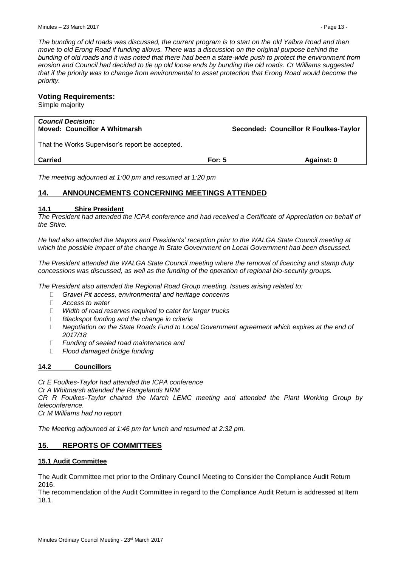*The bunding of old roads was discussed, the current program is to start on the old Yalbra Road and then move to old Erong Road if funding allows. There was a discussion on the original purpose behind the bunding of old roads and it was noted that there had been a state-wide push to protect the environment from erosion and Council had decided to tie up old loose ends by bunding the old roads. Cr Williams suggested that if the priority was to change from environmental to asset protection that Erong Road would become the priority.*

# **Voting Requirements:**

Simple majority

| <b>Council Decision:</b><br><b>Moved: Councillor A Whitmarsh</b> |          | Seconded: Councillor R Foulkes-Taylor |
|------------------------------------------------------------------|----------|---------------------------------------|
| That the Works Supervisor's report be accepted.                  |          |                                       |
| <b>Carried</b>                                                   | For: $5$ | Against: 0                            |
| The meeting edicurred of 1:00 nm and required at 1:20 nm         |          |                                       |

*The meeting adjourned at 1:00 pm and resumed at 1:20 pm*

# <span id="page-12-0"></span>**14. ANNOUNCEMENTS CONCERNING MEETINGS ATTENDED**

# <span id="page-12-1"></span>**14.1 Shire President**

*The President had attended the ICPA conference and had received a Certificate of Appreciation on behalf of the Shire.* 

*He had also attended the Mayors and Presidents' reception prior to the WALGA State Council meeting at which the possible impact of the change in State Government on Local Government had been discussed.*

*The President attended the WALGA State Council meeting where the removal of licencing and stamp duty concessions was discussed, as well as the funding of the operation of regional bio-security groups.*

*The President also attended the Regional Road Group meeting. Issues arising related to:*

- *Gravel Pit access, environmental and heritage concerns*
- *Access to water*
- *Width of road reserves required to cater for larger trucks*
- *Blackspot funding and the change in criteria*
- *Negotiation on the State Roads Fund to Local Government agreement which expires at the end of 2017/18*
- *Funding of sealed road maintenance and*
- *Flood damaged bridge funding*

# <span id="page-12-2"></span>**14.2 Councillors**

*Cr E Foulkes-Taylor had attended the ICPA conference Cr A Whitmarsh attended the Rangelands NRM CR R Foulkes-Taylor chaired the March LEMC meeting and attended the Plant Working Group by teleconference. Cr M Williams had no report*

*The Meeting adjourned at 1:46 pm for lunch and resumed at 2:32 pm.*

# <span id="page-12-3"></span>**15. REPORTS OF COMMITTEES**

# <span id="page-12-4"></span>**15.1 Audit Committee**

The Audit Committee met prior to the Ordinary Council Meeting to Consider the Compliance Audit Return 2016.

The recommendation of the Audit Committee in regard to the Compliance Audit Return is addressed at Item 18.1.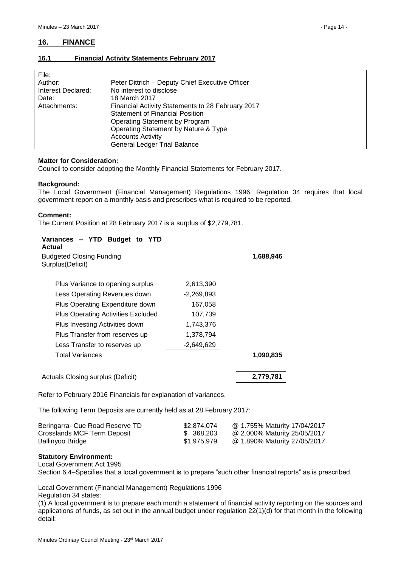# <span id="page-13-0"></span>**16. FINANCE**

# <span id="page-13-1"></span>**16.1 Financial Activity Statements February 2017**

| File:              |                                                   |
|--------------------|---------------------------------------------------|
| Author:            | Peter Dittrich - Deputy Chief Executive Officer   |
| Interest Declared: | No interest to disclose                           |
| Date:              | 18 March 2017                                     |
| Attachments:       | Financial Activity Statements to 28 February 2017 |
|                    | <b>Statement of Financial Position</b>            |
|                    | Operating Statement by Program                    |
|                    | Operating Statement by Nature & Type              |
|                    | <b>Accounts Activity</b>                          |
|                    | <b>General Ledger Trial Balance</b>               |

#### **Matter for Consideration:**

Council to consider adopting the Monthly Financial Statements for February 2017.

#### **Background:**

The Local Government (Financial Management) Regulations 1996. Regulation 34 requires that local government report on a monthly basis and prescribes what is required to be reported.

#### **Comment:**

The Current Position at 28 February 2017 is a surplus of \$2,779,781.

| Variances – YTD Budget to YTD<br>Actual             |            |           |
|-----------------------------------------------------|------------|-----------|
| <b>Budgeted Closing Funding</b><br>Surplus(Deficit) |            | 1,688,946 |
| Plus Variance to opening surplus                    | 2,613,390  |           |
| Less Operating Revenues down                        | -2,269,893 |           |
| Plus Operating Expenditure down                     | 167,058    |           |
| Plus Operating Activities Excluded                  | 107,739    |           |
| Plus Investing Activities down                      | 1,743,376  |           |
| Plus Transfer from reserves up                      | 1,378,794  |           |
| Less Transfer to reserves up                        | -2,649,629 |           |
| Total Variances                                     |            | 1,090,835 |
| Actuals Closing surplus (Deficit)                   |            | 2,779,781 |

Refer to February 2016 Financials for explanation of variances.

The following Term Deposits are currently held as at 28 February 2017:

| Beringarra- Cue Road Reserve TD | \$2.874.074 | @ 1.755% Maturity 17/04/2017 |
|---------------------------------|-------------|------------------------------|
| Crosslands MCF Term Deposit     | \$ 368,203  | @ 2.000% Maturity 25/05/2017 |
| Ballinyoo Bridge                | \$1,975,979 | @ 1.890% Maturity 27/05/2017 |

#### **Statutory Environment:**

Local Government Act 1995

Section 6.4–Specifies that a local government is to prepare "such other financial reports" as is prescribed.

Local Government (Financial Management) Regulations 1996

Regulation 34 states:

(1) A local government is to prepare each month a statement of financial activity reporting on the sources and applications of funds, as set out in the annual budget under regulation 22(1)(d) for that month in the following detail: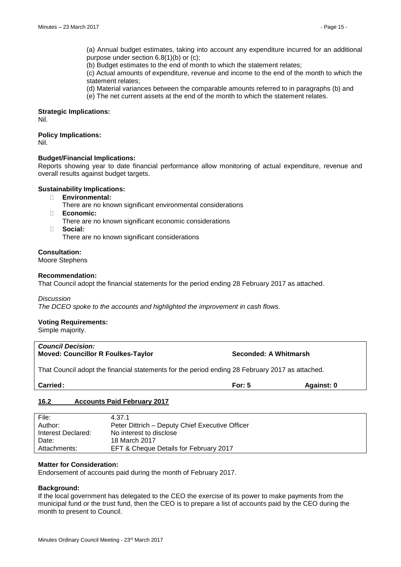(a) Annual budget estimates, taking into account any expenditure incurred for an additional purpose under section 6.8(1)(b) or (c);

(b) Budget estimates to the end of month to which the statement relates;

(c) Actual amounts of expenditure, revenue and income to the end of the month to which the statement relates;

(d) Material variances between the comparable amounts referred to in paragraphs (b) and

(e) The net current assets at the end of the month to which the statement relates.

# **Strategic Implications:**

Nil.

# **Policy Implications:**

Nil.

# **Budget/Financial Implications:**

Reports showing year to date financial performance allow monitoring of actual expenditure, revenue and overall results against budget targets.

#### **Sustainability Implications:**

- **Environmental:**
	- There are no known significant environmental considerations
- **Economic:**
	- There are no known significant economic considerations
- **Social:**

There are no known significant considerations

# **Consultation:**

Moore Stephens

#### **Recommendation:**

That Council adopt the financial statements for the period ending 28 February 2017 as attached.

#### *Discussion*

*The DCEO spoke to the accounts and highlighted the improvement in cash flows.*

# **Voting Requirements:**

Simple majority.

# *Council Decision:* **Moved: Councillor R Foulkes-Taylor Seconded: A Whitmarsh**

That Council adopt the financial statements for the period ending 28 February 2017 as attached.

| <b>Carried:</b><br>____ | For:<br>vı.<br>. . | Against: 0 |
|-------------------------|--------------------|------------|
|                         |                    |            |

# <span id="page-14-0"></span>**16.2 Accounts Paid February 2017**

| File:              | 4.37.1                                          |
|--------------------|-------------------------------------------------|
| Author:            | Peter Dittrich - Deputy Chief Executive Officer |
| Interest Declared: | No interest to disclose                         |
| Date:              | 18 March 2017                                   |
| Attachments:       | EFT & Cheque Details for February 2017          |

#### **Matter for Consideration:**

Endorsement of accounts paid during the month of February 2017.

# **Background:**

If the local government has delegated to the CEO the exercise of its power to make payments from the municipal fund or the trust fund, then the CEO is to prepare a list of accounts paid by the CEO during the month to present to Council.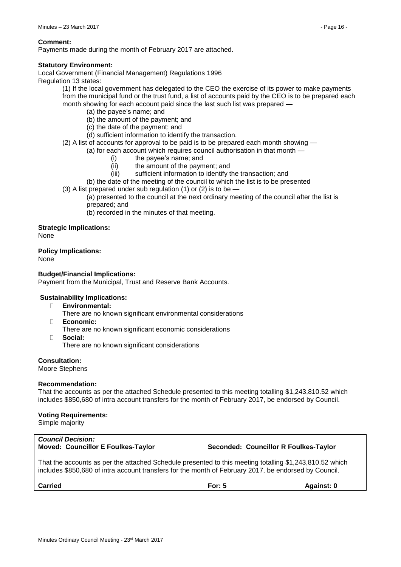#### **Comment:**

Payments made during the month of February 2017 are attached.

#### **Statutory Environment:**

Local Government (Financial Management) Regulations 1996

Regulation 13 states:

(1) If the local government has delegated to the CEO the exercise of its power to make payments from the municipal fund or the trust fund, a list of accounts paid by the CEO is to be prepared each month showing for each account paid since the last such list was prepared

- (a) the payee's name; and
- (b) the amount of the payment; and
- (c) the date of the payment; and
- (d) sufficient information to identify the transaction.

(2) A list of accounts for approval to be paid is to be prepared each month showing —

(a) for each account which requires council authorisation in that month —

- (i) the payee's name; and
- (ii) the amount of the payment; and
- (iii) sufficient information to identify the transaction; and

(b) the date of the meeting of the council to which the list is to be presented

(3) A list prepared under sub regulation (1) or (2) is to be  $-$ 

(a) presented to the council at the next ordinary meeting of the council after the list is prepared; and

(b) recorded in the minutes of that meeting.

#### **Strategic Implications:**

None

**Policy Implications:**

None

#### **Budget/Financial Implications:**

Payment from the Municipal, Trust and Reserve Bank Accounts.

# **Sustainability Implications:**

- **Environmental:**
	- There are no known significant environmental considerations
- **Economic:**
	- There are no known significant economic considerations
- **Social:** There are no known significant considerations

**Consultation:**

Moore Stephens

#### **Recommendation:**

That the accounts as per the attached Schedule presented to this meeting totalling \$1,243,810.52 which includes \$850,680 of intra account transfers for the month of February 2017, be endorsed by Council.

# **Voting Requirements:**

Simple majority

# *Council Decision:*

**Moved: Councillor E Foulkes-Taylor Seconded: Councillor R Foulkes-Taylor**

That the accounts as per the attached Schedule presented to this meeting totalling \$1,243,810.52 which includes \$850,680 of intra account transfers for the month of February 2017, be endorsed by Council.

**Carried For: 5 Against: 0**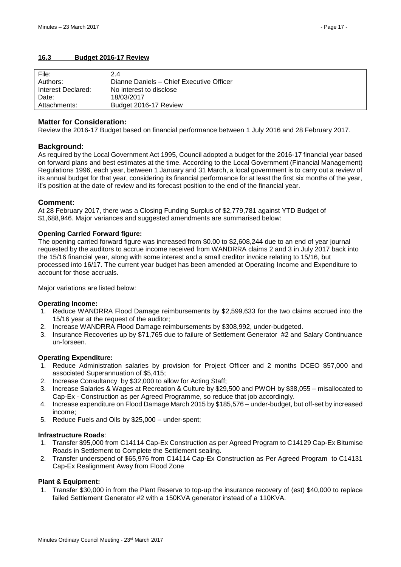# <span id="page-16-0"></span>**16.3 Budget 2016-17 Review**

| File:              | 2.4                                      |
|--------------------|------------------------------------------|
| Authors:           | Dianne Daniels - Chief Executive Officer |
| Interest Declared: | No interest to disclose                  |
| Date:              | 18/03/2017                               |
| Attachments:       | Budget 2016-17 Review                    |

#### **Matter for Consideration:**

Review the 2016-17 Budget based on financial performance between 1 July 2016 and 28 February 2017.

# **Background:**

As required by the Local Government Act 1995, Council adopted a budget for the 2016-17 financial year based on forward plans and best estimates at the time. According to the Local Government (Financial Management) Regulations 1996, each year, between 1 January and 31 March, a local government is to carry out a review of its annual budget for that year, considering its financial performance for at least the first six months of the year, it's position at the date of review and its forecast position to the end of the financial year.

#### **Comment:**

At 28 February 2017, there was a Closing Funding Surplus of \$2,779,781 against YTD Budget of \$1,688,946. Major variances and suggested amendments are summarised below:

#### **Opening Carried Forward figure:**

The opening carried forward figure was increased from \$0.00 to \$2,608,244 due to an end of year journal requested by the auditors to accrue income received from WANDRRA claims 2 and 3 in July 2017 back into the 15/16 financial year, along with some interest and a small creditor invoice relating to 15/16, but processed into 16/17. The current year budget has been amended at Operating Income and Expenditure to account for those accruals.

Major variations are listed below:

#### **Operating Income:**

- 1. Reduce WANDRRA Flood Damage reimbursements by \$2,599,633 for the two claims accrued into the 15/16 year at the request of the auditor;
- 2. Increase WANDRRA Flood Damage reimbursements by \$308,992, under-budgeted.
- 3. Insurance Recoveries up by \$71,765 due to failure of Settlement Generator #2 and Salary Continuance un-forseen.

#### **Operating Expenditure:**

- 1. Reduce Administration salaries by provision for Project Officer and 2 months DCEO \$57,000 and associated Superannuation of \$5,415;
- 2. Increase Consultancy by \$32,000 to allow for Acting Staff;
- 3. Increase Salaries & Wages at Recreation & Culture by \$29,500 and PWOH by \$38,055 misallocated to Cap-Ex - Construction as per Agreed Programme, so reduce that job accordingly.
- 4. Increase expenditure on Flood Damage March 2015 by \$185,576 under-budget, but off-set by increased income;
- 5. Reduce Fuels and Oils by \$25,000 under-spent;

#### **Infrastructure Roads**:

- 1. Transfer \$95,000 from C14114 Cap-Ex Construction as per Agreed Program to C14129 Cap-Ex Bitumise Roads in Settlement to Complete the Settlement sealing.
- 2. Transfer underspend of \$65,976 from C14114 Cap-Ex Construction as Per Agreed Program to C14131 Cap-Ex Realignment Away from Flood Zone

#### **Plant & Equipment:**

1. Transfer \$30,000 in from the Plant Reserve to top-up the insurance recovery of (est) \$40,000 to replace failed Settlement Generator #2 with a 150KVA generator instead of a 110KVA.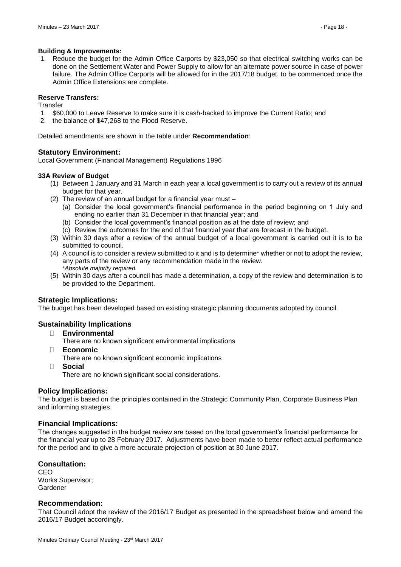#### **Building & Improvements:**

1. Reduce the budget for the Admin Office Carports by \$23,050 so that electrical switching works can be done on the Settlement Water and Power Supply to allow for an alternate power source in case of power failure. The Admin Office Carports will be allowed for in the 2017/18 budget, to be commenced once the Admin Office Extensions are complete.

#### **Reserve Transfers:**

**Transfer** 

- 1. \$60,000 to Leave Reserve to make sure it is cash-backed to improve the Current Ratio; and
- 2. the balance of \$47,268 to the Flood Reserve.

Detailed amendments are shown in the table under **Recommendation**:

# **Statutory Environment:**

Local Government (Financial Management) Regulations 1996

#### **33A Review of Budget**

- (1) Between 1 January and 31 March in each year a local government is to carry out a review of its annual budget for that year.
- (2) The review of an annual budget for a financial year must
	- (a) Consider the local government's financial performance in the period beginning on 1 July and ending no earlier than 31 December in that financial year; and
	- (b) Consider the local government's financial position as at the date of review; and
	- (c) Review the outcomes for the end of that financial year that are forecast in the budget.
- (3) Within 30 days after a review of the annual budget of a local government is carried out it is to be submitted to council.
- (4) A council is to consider a review submitted to it and is to determine\* whether or not to adopt the review, any parts of the review or any recommendation made in the review. *\*Absolute majority required.*
- (5) Within 30 days after a council has made a determination, a copy of the review and determination is to be provided to the Department.

# **Strategic Implications:**

The budget has been developed based on existing strategic planning documents adopted by council.

# **Sustainability Implications**

- **Environmental**
	- There are no known significant environmental implications
- **Economic**

There are no known significant economic implications

**Social**

There are no known significant social considerations.

# **Policy Implications:**

The budget is based on the principles contained in the Strategic Community Plan, Corporate Business Plan and informing strategies.

# **Financial Implications:**

The changes suggested in the budget review are based on the local government's financial performance for the financial year up to 28 February 2017. Adjustments have been made to better reflect actual performance for the period and to give a more accurate projection of position at 30 June 2017.

# **Consultation:**

CEO Works Supervisor; Gardener

# **Recommendation:**

That Council adopt the review of the 2016/17 Budget as presented in the spreadsheet below and amend the 2016/17 Budget accordingly.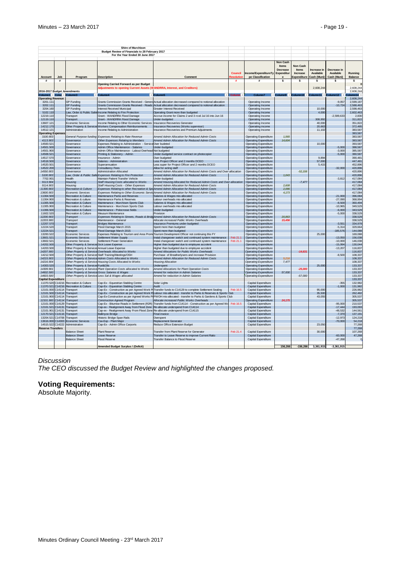|                                                  |                              |                                                         | Shire of Murchison                                                                                               |                                                                                                               |                     |                                                              |                                                 |                                                     |                                         |                                         |                           |
|--------------------------------------------------|------------------------------|---------------------------------------------------------|------------------------------------------------------------------------------------------------------------------|---------------------------------------------------------------------------------------------------------------|---------------------|--------------------------------------------------------------|-------------------------------------------------|-----------------------------------------------------|-----------------------------------------|-----------------------------------------|---------------------------|
|                                                  |                              |                                                         | Budget Review of Financials to 28 February 2017                                                                  |                                                                                                               |                     |                                                              |                                                 |                                                     |                                         |                                         |                           |
|                                                  |                              |                                                         | For the Year Ended 30 June 2017                                                                                  |                                                                                                               |                     |                                                              |                                                 |                                                     |                                         |                                         |                           |
|                                                  |                              |                                                         |                                                                                                                  |                                                                                                               |                     |                                                              | <b>Non Cash</b>                                 |                                                     |                                         |                                         |                           |
|                                                  | Job                          | Program                                                 |                                                                                                                  | Comment                                                                                                       | Council<br>esolutic | Income/ExpenditureTv<br>pe Classification                    | Items<br>Decrease<br>Expenditur<br>$\mathbf{e}$ | Non Cash<br><b>Items</b><br>Increase<br>Expenditure | Increase in<br>Available<br>Cash (Muni) | Decrease in<br>Available<br>Cash (Muni) | Running<br><b>Balance</b> |
| Account<br>#                                     | #                            |                                                         | <b>Description</b><br>Opening Carried Forward as per Budget                                                      |                                                                                                               | #                   | #                                                            | s                                               | s                                                   | s                                       | s                                       | s                         |
|                                                  |                              |                                                         | <b>Adjustments to opening Current Assets (WANDRRA, Interest, and Creditors)</b>                                  |                                                                                                               |                     |                                                              |                                                 |                                                     | 2.608.244                               |                                         | 2.608.244<br>2,608,244    |
| 2016-2017 Budget Amendments<br>Column1 v Colur v |                              | Column <sub>3</sub>                                     | Column                                                                                                           |                                                                                                               |                     |                                                              | $\text{Column9}$ +                              | Column10                                            | Column11 +                              | olumn12                                 | Jumn14                    |
| <b>Operating Revenue</b>                         |                              |                                                         |                                                                                                                  |                                                                                                               |                     |                                                              |                                                 |                                                     |                                         |                                         | 2,608,244                 |
| 3201.111                                         |                              | <b>GP Funding</b>                                       |                                                                                                                  | Grants Commission Grants Received - Genera Actual allocation decreased compared to notional allocation        |                     | Operating Income                                             |                                                 |                                                     |                                         | $-9.057$                                | 2.599.187                 |
| 3202.111                                         |                              | <b>GP Funding</b>                                       |                                                                                                                  | Grants Commission Grants Received - Roads Actual allocation decreased compared to notional allocation         |                     | Operating Income                                             |                                                 |                                                     |                                         | $-10,724$                               | 2,588,463                 |
| 3204.160                                         |                              | <b>GP Funding</b>                                       | <b>Interest Received Municipal</b>                                                                               | <b>Greater Interest Received</b>                                                                              |                     | Operating Income                                             |                                                 |                                                     | 10,000                                  |                                         | 2,598,463                 |
| 5102.110                                         |                              |                                                         | Law, Order & Public Safet Income Relating to Fire Protection                                                     | Operating Grant more than budgeted                                                                            |                     | Operating Income                                             |                                                 |                                                     | 4,000                                   |                                         | 2,602,463                 |
| 12219.110                                        |                              | Transport                                               | Grant - WANDRRA Flood Damage                                                                                     | Accrue income for Claims 2 and 3 rcvd Jul 16 into Jun 16                                                      |                     | Operating Income                                             |                                                 |                                                     |                                         | $-2,599,633$                            | 2.830                     |
| 12119.110<br>13607.121                           |                              | Transport<br><b>Economic Services</b>                   | Grant - WANDRRA Flood Damage<br>Income Relating to Other Economic Services                                       | Jnder-budgeted<br>Insurance Recoveries Generator                                                              |                     | Operating Income<br>Operating Income                         |                                                 |                                                     | 308,992<br>40,000                       |                                         | 311,822<br>351,822        |
| 14212.170                                        |                              | Other Property & Service:                               | Workers Compensation Reimbursements                                                                              | Insurance Recoveries (Works supervisor)                                                                       |                     | Operating income                                             |                                                 |                                                     | 20,663                                  |                                         | 372,485                   |
| 14512.121                                        |                              | Administration                                          | Income Relating to Administration                                                                                | <b>Insurance Recoveries and Premium Adiustments</b>                                                           |                     | Operating Income                                             |                                                 |                                                     | 11,102                                  |                                         | 383,587                   |
| <b>Operating Expense</b>                         |                              |                                                         |                                                                                                                  |                                                                                                               |                     |                                                              |                                                 |                                                     |                                         |                                         | 383,587                   |
| 3100.903                                         |                              |                                                         | General Purpose funding Expenses Relating to Rate Revenue                                                        | Amend Admin Allocation for Reduced Admin Costs                                                                |                     | <b>Operating Expenditure</b>                                 | 1.565                                           |                                                     |                                         |                                         | 383,587                   |
| 4113,903                                         |                              | Governance                                              | Other Expenses Relating to Members                                                                               | Amend Admin Allocation for Reduced Admin Costs                                                                |                     | <b>Operating Expenditure</b>                                 | 14,604                                          |                                                     |                                         |                                         | 383,587                   |
| 14500.521                                        |                              | Governance                                              | Expenses Relating to Administration - Service Over budeted                                                       |                                                                                                               |                     | <b>Operating Expenditure</b>                                 |                                                 |                                                     | 10,000                                  |                                         | 393,587                   |
| 14501.500<br>14501.900                           |                              | Governance<br>Governance                                | Admin Office Maintenance - Salaries<br>Admin Office Maintenance - Labout Overhead Not budgeted                   | Under-budgeted                                                                                                |                     | <b>Operating Expenditure</b><br><b>Operating Expenditure</b> |                                                 |                                                     |                                         | $-5,000$<br>$-3,000$                    | 388,587<br>385,587        |
| 14508.521                                        |                              | Governance                                              | Printing & Stationery - Admin                                                                                    | Under-budgeted service contract on photocopier                                                                |                     | <b>Operating Expenditure</b>                                 |                                                 |                                                     |                                         | $-5,000$                                | 380,587                   |
| 14517.570                                        |                              | Governance                                              | Insurance - Admin                                                                                                | Over-budgeted                                                                                                 |                     | <b>Operating Expenditure</b>                                 |                                                 |                                                     | 9.894                                   |                                         | 390,481                   |
| 14518.500                                        |                              | Governance                                              | Salaries - Administration                                                                                        | Less Project Officer and 2 months DCEO                                                                        |                     | Operating Expenditure                                        |                                                 |                                                     | 57,000                                  |                                         | 447,481                   |
| 14520.501                                        |                              | Governance                                              | Superannuation                                                                                                   | Less super for Project Officer and 2 months DCEO                                                              |                     | <b>Operating Expenditure</b>                                 |                                                 |                                                     | 5,415                                   |                                         | 452,896                   |
| 14522.200                                        |                              | Governance                                              | <b>Consultancy Fees</b>                                                                                          | Allow for acting staff                                                                                        |                     | <b>Operating Expenditure</b>                                 |                                                 |                                                     |                                         | $-32,000$                               | 420,896                   |
| 14550,903<br>5100.903                            |                              | Governance                                              | <b>Administration Allocated</b>                                                                                  | Amend Admin Allocation for Reduced Admin Costs and Over-allocation                                            |                     | <b>Operating Expenditure</b>                                 | 1,043                                           | $-52,158$                                           |                                         |                                         | 420,896                   |
| 7702.901                                         |                              | Health                                                  | Law, Order & Public Safe Expenses Relating to Fire Protection<br>Maintain Patient Transfer Vehicle               | Amend Admin Allocation for Reduced Admin Costs<br>Under-budgeted                                              |                     | Operating Expenditure<br>Operating Expenditure               |                                                 |                                                     |                                         | $-3,812$                                | 420,896<br>417,084        |
| 9113.904                                         |                              | Housing                                                 | Staff Housing Costs allocated to Works                                                                           | Amend Housing Allocated for Reduced Admin Costs and Over-allocation                                           |                     | <b>Operating Expenditure</b>                                 |                                                 | $-7,477$                                            |                                         |                                         | 417,084                   |
| 9114.903                                         |                              | Housina                                                 | Staff Housing Costs - Other Expenses                                                                             | Amend Admin Allocation for Reduced Admin Costs                                                                |                     | Operating Expenditure                                        | 2,608                                           |                                                     |                                         |                                         | 417,084                   |
| 11300.903                                        |                              | <b>Recreation &amp; Culture</b>                         |                                                                                                                  | Expenses Relating to other Recreation & Spo Amend Admin Allocation for Reduced Admin Costs                    |                     | <b>Operating Expenditure</b>                                 | 2.086                                           |                                                     |                                         |                                         | 417,084                   |
| 13600.903                                        |                              | <b>Economic Services</b>                                |                                                                                                                  | Expenses Relating to Other Economic Servic Amend Admin Allocation for Reduced Admin Costs                     |                     | Operating Expenditure                                        | 4,173                                           |                                                     |                                         |                                         | 417,084                   |
| 11304.500                                        |                              | <b>Recreation &amp; Culture</b>                         | Maintenance Parks and Reserves                                                                                   | Salaries & Wages mis-allocated                                                                                |                     | <b>Operating Expenditure</b>                                 |                                                 |                                                     |                                         | $-21,000$                               | 396.084                   |
| 11304.900<br>11305.500                           |                              | Recreation & culture<br><b>Recreation &amp; Culture</b> | Maintenance Parks & Reserves<br>Maintenance - Murchison Sports Club                                              | Labour overheads mis-allocated                                                                                |                     | <b>Operating Expenditure</b>                                 |                                                 |                                                     |                                         | $-27,090$<br>$-8,500$                   | 368,994<br>360,494        |
| 11305.900                                        |                              | Recreation & Culture                                    | Maintenance - Murchison Sports Club                                                                              | Salaries & Wages mis-allocated<br>abour overheads mis-allocated                                               |                     | <b>Operating Expenditure</b><br><b>Operating Expenditure</b> |                                                 |                                                     |                                         | $-10,965$                               | 349,529                   |
| 11306.500                                        |                              | <b>Recreation &amp; Culture</b>                         | Maintenance - Polocrosse fields                                                                                  | Under-budgeted                                                                                                |                     | <b>Operating Expenditure</b>                                 |                                                 |                                                     |                                         | $-6.000$                                | 343,529                   |
| 11602.520                                        |                              | Recreation & Culture                                    | Meusum Maintenance                                                                                               | Provision                                                                                                     |                     | <b>Operating Expenditure</b>                                 |                                                 |                                                     |                                         | $-5,000$                                | 338,529                   |
| 12200.903                                        |                              | Transport                                               |                                                                                                                  | Expenses Relating to Streets, Roads & Bridg Amend Admin Allocation for Reduced Admin Costs                    |                     | <b>Operating Expenditure</b>                                 | 20.863                                          |                                                     |                                         |                                         | 338,529                   |
| 12203.900                                        |                              | Transport                                               | Maintenance - General                                                                                            | Allocate increased Public Works Overheads                                                                     |                     | <b>Operating Expenditure</b>                                 | 15,45                                           |                                                     |                                         |                                         | 338,529                   |
| 12207.570                                        |                              | Transport                                               | <b>Bridges Maintenance</b>                                                                                       | Insurance Premiums under-budgeted                                                                             |                     | <b>Operating Expenditure</b>                                 |                                                 |                                                     |                                         | $-3,551$                                | 334,978                   |
| 12224.520<br>12224.521                           |                              | Transport<br>Transport                                  | Flood Damage March 2015<br>Flood Damage March 2015                                                               | Spent more than budgeted<br>Spent more than budgeted                                                          |                     | <b>Operating Expenditure</b><br><b>Operating Expenditure</b> |                                                 |                                                     |                                         | $-5.314$<br>$-185,576$                  | 329,664<br>144,088        |
| 13200.522                                        |                              | <b>Economic Services</b>                                |                                                                                                                  | Expenses Relating to Tourism and Area Prom Tourism Development Officer not continuing this FY                 |                     | Operating Expenditure                                        |                                                 |                                                     | 25,000                                  |                                         | 169,088                   |
| 13601.521                                        |                              | <b>Economic Services</b>                                | Settlement Water Supply                                                                                          | Instal changeover switch and continued system maintenance                                                     | Feb 21.1            | <b>Operating Expenditure</b>                                 |                                                 |                                                     |                                         | $-13,050$                               | 156,038                   |
| 13602.521                                        |                              | <b>Economic Services</b>                                | Settlement Power Generation                                                                                      | nstal changeover switch and continued system maintenance                                                      | Feb 21.1            | <b>Operating Expenditure</b>                                 |                                                 |                                                     |                                         | $-10,000$                               | 146,038                   |
| 14202.500                                        |                              | Other Property & Services                               | Sick Leave Expense                                                                                               | Higher than budgeted due to employee accident                                                                 |                     | <b>Operating Expenditure</b>                                 |                                                 |                                                     |                                         | $-15,994$                               | 130,044                   |
| 14203.500                                        |                              | Other Property & Services Annual Leave Expense          |                                                                                                                  | Higher than budgeted due to employee accident                                                                 |                     | <b>Operating Expenditure</b>                                 |                                                 |                                                     |                                         | $-13,207$                               | 116,837                   |
| 14207.900<br>14212.500                           |                              |                                                         | Other Property & Service Overheads Allocated to Works                                                            | Amend Allocations for Public Works Overheads<br>Purchase of Breatherlysers and increase Provision             |                     | <b>Operating Expenditure</b>                                 |                                                 | $-14,631$                                           |                                         | $-8,500$                                | 116,837                   |
| 14215.903                                        |                              |                                                         | Other Property & Services Staff Training/Meetings/OSH<br>Other Property & Service Admin Costs Allocated to Works | Amend Admin Allocation for Reduced Admin Costs                                                                |                     | <b>Operating Expenditure</b><br><b>Operating Expenditure</b> | 5.216                                           |                                                     |                                         |                                         | 108,337<br>108,337        |
| 14216.904                                        |                              |                                                         | Other Property & Service Housing Costs Allocated to Works                                                        | <b>Housing Allocation</b>                                                                                     |                     | <b>Operating Expenditure</b>                                 | 7,477                                           |                                                     |                                         |                                         | 108,337                   |
| 14303.520                                        |                              | Other Property & Services Fuel&Oils                     |                                                                                                                  | <b>Inderspent</b>                                                                                             |                     | <b>Operating Expenditure</b>                                 |                                                 |                                                     | 25.000                                  |                                         | 133,337                   |
| 14309.901                                        |                              |                                                         | Other Property & Service Plant Operation Costs allocated to Works                                                | Amend Allocations for Plant Operation Costs                                                                   |                     | <b>Operating Expenditure</b>                                 |                                                 | $-25,000$                                           |                                         |                                         | 133,337                   |
| 14602.500                                        |                              |                                                         | Other Property & Service Gross Salaries & Wages                                                                  | Amend for reduction in Admin Salaries                                                                         |                     | <b>Operating Expenditure</b>                                 | 57,000                                          |                                                     |                                         |                                         | 133,337                   |
| 14603.500                                        |                              |                                                         | Other Property & Service Less Sal & Wages allocated                                                              | Amend for reduction in Admin Salaries                                                                         |                     | <b>Operating Expenditure</b>                                 |                                                 | $-57,000$                                           |                                         |                                         | 133,337                   |
| <b>Capital Expenditure</b><br>11370.520 C14216   |                              | <b>Recreation &amp; Culture</b>                         | Cap-Ex - Equestrian Stabling Centre                                                                              | Solar Lights                                                                                                  |                     | Capital Expenditure                                          |                                                 |                                                     |                                         | $-355$                                  | 133,337<br>132,982        |
| 11370.521                                        | C14216                       | Recreation & Culture                                    | Cap-Ex - Equestrian Stabling Centre                                                                              | Audit                                                                                                         |                     | Capital Expenditure                                          |                                                 |                                                     |                                         | $-1,000$                                | 131,982                   |
| 12101.000                                        | C <sub>14114</sub>           | Transport                                               |                                                                                                                  | Cap-Ex - Construction as per Agreed Work P Transfer funds to C14129 to complete Settlement Sealing            | <b>Feb 16.5</b>     | Capital Expenditure                                          |                                                 |                                                     | 95.000                                  |                                         | 226.982                   |
| 12101.500                                        | C14114                       | Transport                                               |                                                                                                                  | Cap-Ex - Construction as per Agreed Work PI Labour mis-allocated - transfer to Parks & Reserves & Sports Club |                     | Capital Expenditure                                          |                                                 |                                                     | 35,500                                  |                                         | 262,482                   |
| 12101.900                                        | C <sub>14114</sub>           | Transport                                               |                                                                                                                  | Cap-Ex-Construction as per Agreed Works Pr PWOH mis-allocated - transfer to Parks & Gardens & Sports Club     |                     | Capital Expenditure                                          |                                                 |                                                     | 43,055                                  |                                         | 305,537                   |
| 12101.900                                        | C14114<br>C <sub>14129</sub> | Transport                                               | <b>Construction Agreed Program</b>                                                                               | Allocate increased Public Works Overheads                                                                     | <b>Feb 16.5</b>     | <b>Operating Expenditure</b>                                 | 24.175                                          |                                                     |                                         |                                         | 305,537                   |
| 12101.000<br>12101.521 C14131                    |                              | Transport<br>Transport                                  | Cap-Ex - Bitumise Roads in Settlement (R2R)<br>Cap-ex - Realignment Away from Flood Zone                         | Transfer funds from C14114 - Construction as per Agreed Wo<br>Re-allocate underspend from C14114              |                     | Capital Expenditure<br>Capital Expenditure                   |                                                 |                                                     |                                         | $-95,000$<br>$-17,444$                  | 210,537<br>193,093        |
| 12101.901                                        | C <sub>14131</sub>           | Transport                                               | Cap-ex - Realignment Away From Flood Zone Re-allocate underspend from C14115                                     |                                                                                                               |                     | Capital Expenditure                                          |                                                 |                                                     |                                         | $-48,532$                               | 144,561                   |
| 12170.521                                        | C14116                       | Transport                                               | <b>Ballinyoo Bridge</b>                                                                                          | Final invoice                                                                                                 |                     | Capital Expenditure                                          |                                                 |                                                     |                                         | $-7,370$                                | 137,191                   |
| 13204.521                                        | C14708                       | Transport                                               | Historic Bridge Span Rails                                                                                       | Overspent                                                                                                     |                     | Capital Expenditure                                          |                                                 |                                                     |                                         | $-12,973$                               | 124,218                   |
| 13616.000 C14303                                 |                              | <b>Economic Services</b>                                | Cax-Exp - Plant Major                                                                                            | Replacement Generator                                                                                         |                     | Capital Expenditure                                          |                                                 |                                                     |                                         | $-70,000$                               | 54,218                    |
| 14515.522 C14222                                 |                              | Administration                                          | Cap-Ex - Admin Office Carports                                                                                   | Reduce Office Extension Budget                                                                                |                     | Capital Expenditure                                          |                                                 |                                                     | 23,050                                  |                                         | 77,268                    |
| <b>Reserve Transfers</b>                         |                              | <b>Balance Sheet</b>                                    |                                                                                                                  |                                                                                                               |                     |                                                              |                                                 |                                                     |                                         |                                         | 77,268                    |
|                                                  |                              | <b>Balance Sheet</b>                                    | Plant Reserve<br>I eave Reserve                                                                                  | Transfer from Plant Reserve for Generator<br>Transfer to Leave Reserve to improve Current Ratio               | Feb 21.4            | Capital Expenditure<br>Capital Expenditure                   |                                                 |                                                     | 30,000                                  | $-60,000$                               | 107,268<br>47,268         |
|                                                  |                              | <b>Balance Sheet</b>                                    | <b>Flood Reserve</b>                                                                                             | Transfer Balance to Flood Reserve                                                                             |                     | Capital Expenditure                                          |                                                 |                                                     |                                         | $-47.268$                               |                           |
|                                                  |                              |                                                         |                                                                                                                  |                                                                                                               |                     |                                                              |                                                 |                                                     |                                         |                                         |                           |
|                                                  |                              |                                                         | <b>Amended Budget Surplus / (Deficit)</b>                                                                        |                                                                                                               |                     |                                                              | 156.266                                         | $-156.266$                                          | 3.361.915                               | $-3.361.915$                            |                           |

#### *Discussion*

*The CEO discussed the Budget Review and highlighted the changes proposed.*

# **Voting Requirements:**

Absolute Majority.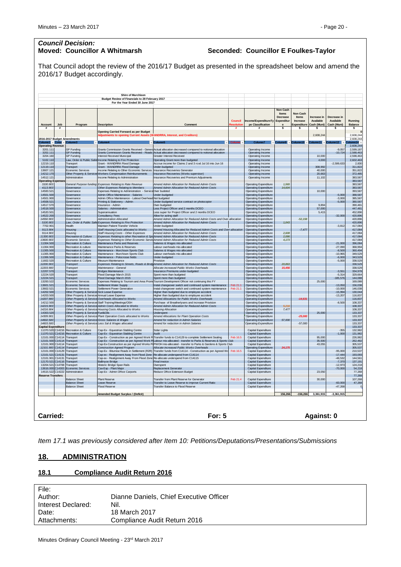# *Council Decision:*

# **Moved: Councillor A Whitmarsh Seconded: Councillor E Foulkes-Taylor**

That Council adopt the review of the 2016/17 Budget as presented in the spreadsheet below and amend the 2016/17 Budget accordingly.

|                                                                                                                                            |                                                                                                                                            |                                                                                                | <b>Shire of Murchison</b>                                                                                               |                                                                                                                                                                      |                                   |                                                              |                                             |                                                          |                          |                          |                           |
|--------------------------------------------------------------------------------------------------------------------------------------------|--------------------------------------------------------------------------------------------------------------------------------------------|------------------------------------------------------------------------------------------------|-------------------------------------------------------------------------------------------------------------------------|----------------------------------------------------------------------------------------------------------------------------------------------------------------------|-----------------------------------|--------------------------------------------------------------|---------------------------------------------|----------------------------------------------------------|--------------------------|--------------------------|---------------------------|
|                                                                                                                                            |                                                                                                                                            |                                                                                                | Budget Review of Financials to 28 February 2017<br>For the Year Ended 30 June 2017                                      |                                                                                                                                                                      |                                   |                                                              |                                             |                                                          |                          |                          |                           |
|                                                                                                                                            |                                                                                                                                            |                                                                                                |                                                                                                                         |                                                                                                                                                                      | <b>Council</b><br><b>esolutie</b> | Income/ExpenditureTy<br>pe Classification                    | Non Cash<br>Items<br>Decrease<br>Expenditur | Non Cash<br>Items<br>Increase<br>Expenditure Cash (Muni) | Increase in<br>Available | Decrease in<br>Available | Running<br><b>Balance</b> |
| <b>Account</b><br>#                                                                                                                        | Job<br>#                                                                                                                                   | Program                                                                                        | <b>Description</b>                                                                                                      | Comment                                                                                                                                                              | #                                 | #                                                            | $\mathbf{e}$<br>s                           | s                                                        | s                        | Cash (Muni)<br>s         | s                         |
| 2016-2017 Budget Amendments                                                                                                                |                                                                                                                                            |                                                                                                | <b>Opening Carried Forward as per Budget</b><br>djustments to opening Current Assets (WANDRRA, Interest, and Creditors) |                                                                                                                                                                      |                                   |                                                              |                                             |                                                          | 2.608.244                |                          | 2,608,244<br>2,608,244    |
| Column1 v Colui<br><b>Operating Revenue</b>                                                                                                |                                                                                                                                            | Column3                                                                                        | Column4                                                                                                                 | Column <sub>5</sub>                                                                                                                                                  |                                   | Column7                                                      | Column9 $-$                                 | Column10 <sup>+</sup>                                    | Column11                 | column12                 | plumn14<br>2.608.244      |
| 3201.111<br>3202.111                                                                                                                       |                                                                                                                                            | <b>GP Fundina</b><br><b>GP Funding</b>                                                         | Grants Commission Grants Received - Genera                                                                              | Actual allocation decreased compared to notional allocation<br>Grants Commission Grants Received - Roads Actual allocation decreased compared to notional allocation |                                   | Operating Income<br>Operating Income                         |                                             |                                                          |                          | $-9.057$<br>$-10,724$    | 2,599,187<br>2,588,463    |
| 3204.160                                                                                                                                   |                                                                                                                                            | <b>GP Funding</b>                                                                              | nterest Received Municipal                                                                                              | Greater Interest Received                                                                                                                                            |                                   | Operating Income                                             |                                             |                                                          | 10,000                   |                          | 2,598,463                 |
| 5102.110<br>12219.110                                                                                                                      |                                                                                                                                            | Transport                                                                                      | Law, Order & Public Safet Income Relating to Fire Protection<br>Grant - WANDRRA Flood Damage                            | Operating Grant more than budgeted<br>Accrue income for Claims 2 and 3 rcvd Jul 16 into Jun 16                                                                       |                                   | Operating Income<br>Operating Income                         |                                             |                                                          | 4.000                    | $-2.599.633$             | 2.602.463<br>2,830        |
| 12119.110<br>13607.121                                                                                                                     |                                                                                                                                            | Transport<br>Economic Services                                                                 | Grant - WANDRRA Flood Damage<br>ncome Relating to Other Economic Services                                               | Inder-budgeted<br>Insurance Recoveries Generator                                                                                                                     |                                   | Operating Income<br>Operating Income                         |                                             |                                                          | 308.992<br>40,000        |                          | 311,822<br>351,822        |
| 14212.170<br>14512.121                                                                                                                     |                                                                                                                                            | Other Property & Service<br>Administration                                                     | <b>Workers Compensation Reimbursements</b><br>ncome Relating to Administration                                          | Insurance Recoveries (Works supervisor)<br>Insurance Recoveries and Premium Adjustments                                                                              |                                   | Operating income<br>Operating Income                         |                                             |                                                          | 20,663<br>11,102         |                          | 372,485<br>383,587        |
| <b>Operating Expense</b><br>3100.903                                                                                                       |                                                                                                                                            |                                                                                                | General Purpose funding Expenses Relating to Rate Revenue                                                               | Amend Admin Allocation for Reduced Admin Costs                                                                                                                       |                                   | <b>Operating Expenditure</b>                                 | 1.565                                       |                                                          |                          |                          | 383,587<br>383,587        |
| 4113.903<br>14500.521                                                                                                                      |                                                                                                                                            | Governance<br>Governance                                                                       | Other Expenses Relating to Members<br>Expenses Relating to Administration - Service                                     | Amend Admin Allocation for Reduced Admin Costs<br>Over budeted                                                                                                       |                                   | <b>Operating Expenditure</b><br><b>Operating Expenditure</b> | 14,604                                      |                                                          | 10,000                   |                          | 383,587<br>393.587        |
| 14501.500                                                                                                                                  |                                                                                                                                            | Governance                                                                                     | Admin Office Maintenance - Salaries                                                                                     | Under-budgeted                                                                                                                                                       |                                   | <b>Operating Expenditure</b>                                 |                                             |                                                          |                          | $-5,000$                 | 388,587                   |
| 14501.900<br>14508.521                                                                                                                     |                                                                                                                                            | Governance<br>Governance                                                                       | Admin Office Maintenance - Labout Overhead<br>Printing & Stationery - Admin                                             | Not budgeted<br>Under-budgeted service contract on photocopier                                                                                                       |                                   | <b>Operating Expenditure</b><br><b>Operating Expenditure</b> |                                             |                                                          |                          | $-3,000$<br>$-5.000$     | 385,587<br>380,587        |
| 14517.570<br>14518.500                                                                                                                     |                                                                                                                                            | Governance<br>Governance                                                                       | Insurance - Admin<br>Salaries - Administration                                                                          | Over-budgeted<br>Less Project Officer and 2 months DCEO                                                                                                              |                                   | <b>Operating Expenditure</b><br><b>Operating Expenditure</b> |                                             |                                                          | 9,894<br>57,000          |                          | 390,481<br>447,481        |
| 14520.501<br>14522.200                                                                                                                     |                                                                                                                                            | Governance<br>Governance                                                                       | Superannuation<br><b>Consultancy Fees</b>                                                                               | Less super for Project Officer and 2 months DCEO<br>Allow for acting staff                                                                                           |                                   | Operating Expenditure<br><b>Operating Expenditure</b>        |                                             |                                                          | 5.415                    | $-32,000$                | 452,896<br>420,896        |
| 14550.903<br>5100.903                                                                                                                      |                                                                                                                                            | Governance<br>Law, Order & Public Safe                                                         | <b>Administration Allocated</b><br><b>Expenses Relating to Fire Protection</b>                                          | Amend Admin Allocation for Reduced Admin Costs and Over-allocation<br>Amend Admin Allocation for Reduced Admin Costs                                                 |                                   | <b>Operating Expenditure</b><br><b>Operating Expenditure</b> | 1.043                                       | $-52,158$                                                |                          |                          | 420,896<br>420.896        |
| 7702.901<br>9113.904                                                                                                                       |                                                                                                                                            | Health<br>Housina                                                                              | Maintain Patient Transfer Vehicle<br>Staff Housing Costs allocated to Works                                             | Under-budgeted<br>Amend Housing Allocated for Reduced Admin Costs and Over-allocation                                                                                |                                   | Operating Expenditure                                        |                                             | $-7,477$                                                 |                          | $-3,812$                 | 417,084<br>417,084        |
| 9114.903                                                                                                                                   |                                                                                                                                            | Housing                                                                                        | Staff Housing Costs - Other Expenses                                                                                    | Amend Admin Allocation for Reduced Admin Costs                                                                                                                       |                                   | <b>Operating Expenditure</b><br><b>Operating Expenditure</b> | 2,608                                       |                                                          |                          |                          | 417,084                   |
| 11300.903<br>13600.903                                                                                                                     |                                                                                                                                            | <b>Recreation &amp; Culture</b><br>Economic Services                                           | Expenses Relating to other Recreation & St.<br>Expenses Relating to Other Economic Servi                                | Amend Admin Allocation for Reduced Admin Costs<br>Amend Admin Allocation for Reduced Admin Costs                                                                     |                                   | <b>Operating Expenditure</b><br><b>Operating Expenditure</b> | 2,086<br>4,173                              |                                                          |                          |                          | 417,084<br>417,084        |
| 11304.500<br>11304.900                                                                                                                     |                                                                                                                                            | Recreation & Culture<br>Recreation & culture                                                   | Maintenance Parks and Reserves<br>Maintenance Parks & Reserves                                                          | Salaries & Wages mis-allocated<br>Labour overheads mis-allocated                                                                                                     |                                   | <b>Operating Expenditure</b><br><b>Operating Expenditure</b> |                                             |                                                          |                          | $-21,000$<br>$-27,090$   | 396,084<br>368,994        |
| 11305.500<br>11305.900                                                                                                                     |                                                                                                                                            | <b>Recreation &amp; Culture</b><br>Recreation & Culture                                        | Maintenance - Murchison Sports Club<br>Maintenance - Murchison Sports Club                                              | Salaries & Wages mis-allocated<br>Labour overheads mis-allocated                                                                                                     |                                   | <b>Operating Expenditure</b><br><b>Operating Expenditure</b> |                                             |                                                          |                          | $-8,500$<br>$-10.965$    | 360,494<br>349,529        |
| 11306.500                                                                                                                                  |                                                                                                                                            | Recreation & Culture                                                                           | Maintenance - Polocrosse fields<br>Meusum Maintenance                                                                   | Under-budgeted                                                                                                                                                       |                                   | <b>Operating Expenditure</b>                                 |                                             |                                                          |                          | $-6,000$                 | 343,529                   |
| 11602.520<br>12200.903                                                                                                                     |                                                                                                                                            | Recreation & Culture<br>Transport                                                              | Expenses Relating to Streets, Roads & Bridg                                                                             | Provision<br>Amend Admin Allocation for Reduced Admin Costs                                                                                                          |                                   | <b>Operating Expenditure</b><br><b>Operating Expenditure</b> | 20,863                                      |                                                          |                          | $-5,000$                 | 338,529<br>338,529        |
| 12203.900<br>12207.570                                                                                                                     |                                                                                                                                            | Transport<br>Transport                                                                         | Maintenance - General<br><b>Bridges Maintenance</b>                                                                     | Allocate increased Public Works Overheads<br>Insurance Premiums under-budgeted                                                                                       |                                   | Operating Expenditure<br><b>Operating Expenditure</b>        | 15,45                                       |                                                          |                          | $-3,551$                 | 338,529<br>334,978        |
| 12224.520<br>12224.521                                                                                                                     |                                                                                                                                            | Transport<br>Transport                                                                         | Flood Damage March 2015<br>Flood Damage March 2015                                                                      | Spent more than budgeted<br>Spent more than budgeted                                                                                                                 |                                   | <b>Operating Expenditure</b><br><b>Operating Expenditure</b> |                                             |                                                          |                          | $-5,314$<br>$-185,576$   | 329,664<br>144,088        |
| 13200.522<br>13601.521                                                                                                                     |                                                                                                                                            | Economic Services<br><b>Economic Services</b>                                                  | Expenses Relating to Tourism and Area Prom<br>Settlement Water Supply                                                   | Tourism Development Officer not continuing this FY<br>Instal changeover switch and continued system maintenance                                                      | Feb 21.1                          | <b>Operating Expenditure</b><br><b>Operating Expenditure</b> |                                             |                                                          | 25,000                   | $-13.050$                | 169,088<br>156,038        |
| 13602.521                                                                                                                                  |                                                                                                                                            | Economic Services                                                                              | Settlement Power Generation                                                                                             | nstal changeover switch and continued system maintenance                                                                                                             | Feb 21.1                          | <b>Operating Expenditure</b>                                 |                                             |                                                          |                          | $-10,000$                | 146,038                   |
| 14202.500<br>14203.500                                                                                                                     |                                                                                                                                            | Other Property & Services Sick Leave Expense<br>Other Property & Services Annual Leave Expense |                                                                                                                         | Higher than budgeted due to employee accident<br>Higher than budgeted due to employee accident                                                                       |                                   | <b>Operating Expenditure</b><br><b>Operating Expenditure</b> |                                             |                                                          |                          | $-15,994$<br>$-13,207$   | 130,044<br>116,837        |
| 14207.900<br>14212.500                                                                                                                     |                                                                                                                                            |                                                                                                | Other Property & Service Overheads Allocated to Works<br>Other Property & Services Staff Training/Meetings/OSH          | Amend Allocations for Public Works Overheads<br>Purchase of Breatherlysers and increase Provision                                                                    |                                   | <b>Operating Expenditure</b><br><b>Operating Expenditure</b> |                                             | $-14,631$                                                |                          | $-8,500$                 | 116,837<br>108,337        |
| 14215.903<br>14216.904                                                                                                                     |                                                                                                                                            |                                                                                                | Other Property & Service Admin Costs Allocated to Works<br>Other Property & Service Housing Costs Allocated to Works    | Amend Admin Allocation for Reduced Admin Costs<br><b>Housing Allocation</b>                                                                                          |                                   | <b>Operating Expenditure</b><br><b>Operating Expenditure</b> | 5.21<br>7,477                               |                                                          |                          |                          | 108,337<br>108,337        |
| 14303.520<br>14309.901                                                                                                                     |                                                                                                                                            | Other Property & Services Fuel&Oils                                                            | Other Property & Service Plant Operation Costs allocated to Works                                                       | Underspent<br>Amend Allocations for Plant Operation Costs                                                                                                            |                                   | <b>Operating Expenditure</b>                                 |                                             | $-25,000$                                                | 25,000                   |                          | 133,337<br>133,337        |
| 14602.500                                                                                                                                  |                                                                                                                                            |                                                                                                | Other Property & Service Gross Salaries & Wages                                                                         | Amend for reduction in Admin Salaries                                                                                                                                |                                   | <b>Operating Expenditure</b><br><b>Operating Expenditure</b> | 57,000                                      |                                                          |                          |                          | 133,337                   |
| 14603.500<br>Capital Expenditure                                                                                                           |                                                                                                                                            |                                                                                                | Other Property & Service Less Sal & Wages allocated                                                                     | Amend for reduction in Admin Salaries                                                                                                                                |                                   | Operating Expenditure                                        |                                             | $-57,000$                                                |                          |                          | 133,337<br>133,337        |
| 11370.520 C14216<br>11370.521 C14216                                                                                                       |                                                                                                                                            | Recreation & Culture<br>Recreation & Culture                                                   | Cap-Ex - Equestrian Stabling Centre<br>Cap-Ex - Equestrian Stabling Centre                                              | Solar Lights<br>Audit                                                                                                                                                |                                   | Capital Expenditure<br>Capital Expenditure                   |                                             |                                                          |                          | $-355$<br>$-1,000$       | 132,982<br>131,982        |
| 12101.000<br>12101.500 C14114                                                                                                              | C14114                                                                                                                                     | Transport<br>Transport                                                                         | Cap-Ex - Construction as per Agreed Work P<br>Cap-Ex - Construction as per Agreed Work P                                | Transfer funds to C14129 to complete Settlement Sealing<br>Labour mis-allocated - transfer to Parks & Reserves & Sports Club                                         | Feb 16.5                          | Capital Expenditure<br>Capital Expenditure                   |                                             |                                                          | 95,000<br>35,500         |                          | 226,982<br>262,482        |
| 12101.900 C14114<br>12101.900 C14114                                                                                                       |                                                                                                                                            | Transport<br><b>Transport</b>                                                                  | Cap-Ex-Construction as per Agreed Works P<br><b>Construction Agreed Program</b>                                         | PWOH mis-allocated - transfer to Parks & Gardens & Sports Club<br>Allocate increased Public Works Overheads                                                          |                                   | Capital Expenditure<br><b>Operating Expenditure</b>          | 24.175                                      |                                                          | 43,055                   |                          | 305,537<br>305.537        |
| 12101.000 C14129<br>12101.521 C14131                                                                                                       |                                                                                                                                            | Transport<br>Transport                                                                         | Cap-Ex - Bitumise Roads in Settlement (R2R)<br>Cap-ex - Realignment Away from Flood Zone                                | Transfer funds from C14114 - Construction as per Agreed Wo<br>Re-allocate underspend from C14114                                                                     | Feb 16.5                          | Capital Expenditure<br>Capital Expenditure                   |                                             |                                                          |                          | $-95,000$<br>$-17,444$   | 210,537<br>193,093        |
| 12101.901 C14131                                                                                                                           |                                                                                                                                            | Transport                                                                                      | Cap-ex - Realignment Away From Flood Zone                                                                               | Re-allocate underspend from C14115                                                                                                                                   |                                   | Capital Expenditure                                          |                                             |                                                          |                          | $-48,532$                | 144,561                   |
| 12170.521<br>13204.521 C14708                                                                                                              | C14116                                                                                                                                     | Transport<br>Transport                                                                         | <b>Ballinvoo Bridge</b><br>Historic Bridge Span Rails                                                                   | <b>Final invoice</b><br>Overspent                                                                                                                                    |                                   | Capital Expenditure<br>Capital Expenditure                   |                                             |                                                          |                          | $-7,370$<br>$-12.973$    | 137,191<br>124,218        |
| 13616.000 C14303<br>14515.522 C14222                                                                                                       |                                                                                                                                            | <b>Economic Services</b><br>Administration                                                     | Cax-Exp - Plant Major<br>Cap-Ex - Admin Office Carports                                                                 | Replacement Generator<br>Reduce Office Extension Budget                                                                                                              |                                   | Capital Expenditure<br>Capital Expenditure                   |                                             |                                                          | 23,050                   | $-70,000$                | 54,218<br>77,268          |
| <b>Reserve Transfers</b>                                                                                                                   |                                                                                                                                            |                                                                                                |                                                                                                                         | Transfer from Plant Reserve for Generator                                                                                                                            |                                   |                                                              |                                             |                                                          |                          |                          | 77,268                    |
|                                                                                                                                            |                                                                                                                                            | <b>Balance Sheet</b><br><b>Balance Sheet</b>                                                   | Plant Reserve<br>Leave Reserve                                                                                          | Transfer to Leave Reserve to improve Current Ratio                                                                                                                   | Feb 21.4                          | Capital Expenditure<br>Capital Expenditure                   |                                             |                                                          | 30,000                   | $-60,000$                | 107,268<br>47,268         |
|                                                                                                                                            |                                                                                                                                            | <b>Balance Sheet</b>                                                                           | <b>Flood Reserve</b>                                                                                                    | Transfer Balance to Flood Reserve                                                                                                                                    |                                   | Capital Expenditure                                          |                                             |                                                          |                          | $-47,268$                | $\mathbf{0}$              |
|                                                                                                                                            | Amended Budget Surplus / (Deficit)<br>$-156,266$<br>156,266<br>3,361,915<br>$-3,361,915$<br>Carried:<br><b>For: 5</b><br><b>Against: 0</b> |                                                                                                |                                                                                                                         |                                                                                                                                                                      |                                   |                                                              |                                             |                                                          |                          |                          |                           |
| Item 17.1 was previously considered after Item 10: Petitions/Deputations/Presentations/Submissions<br><b>ADMINISTRATION</b><br><u> 18.</u> |                                                                                                                                            |                                                                                                |                                                                                                                         |                                                                                                                                                                      |                                   |                                                              |                                             |                                                          |                          |                          |                           |
|                                                                                                                                            |                                                                                                                                            |                                                                                                |                                                                                                                         |                                                                                                                                                                      |                                   |                                                              |                                             |                                                          |                          |                          |                           |
| <b>Compliance Audit Return 2016</b><br><u>18.1</u>                                                                                         |                                                                                                                                            |                                                                                                |                                                                                                                         |                                                                                                                                                                      |                                   |                                                              |                                             |                                                          |                          |                          |                           |
|                                                                                                                                            |                                                                                                                                            |                                                                                                |                                                                                                                         |                                                                                                                                                                      |                                   |                                                              |                                             |                                                          |                          |                          |                           |
|                                                                                                                                            | File:                                                                                                                                      |                                                                                                |                                                                                                                         |                                                                                                                                                                      |                                   |                                                              |                                             |                                                          |                          |                          |                           |
| Author:<br>Dianne Daniels, Chief Executive Officer                                                                                         |                                                                                                                                            |                                                                                                |                                                                                                                         |                                                                                                                                                                      |                                   |                                                              |                                             |                                                          |                          |                          |                           |
| Interest Declared:<br>Nil.                                                                                                                 |                                                                                                                                            |                                                                                                |                                                                                                                         |                                                                                                                                                                      |                                   |                                                              |                                             |                                                          |                          |                          |                           |
| Date:                                                                                                                                      |                                                                                                                                            |                                                                                                | 18 March 2017                                                                                                           |                                                                                                                                                                      |                                   |                                                              |                                             |                                                          |                          |                          |                           |
|                                                                                                                                            |                                                                                                                                            |                                                                                                |                                                                                                                         |                                                                                                                                                                      |                                   |                                                              |                                             |                                                          |                          |                          |                           |
|                                                                                                                                            | Attachments:<br>Compliance Audit Return 2016                                                                                               |                                                                                                |                                                                                                                         |                                                                                                                                                                      |                                   |                                                              |                                             |                                                          |                          |                          |                           |

# <span id="page-19-0"></span>**18. ADMINISTRATION**

# <span id="page-19-1"></span>**18.1 Compliance Audit Return 2016**

| Dianne Daniels, Chief Executive Officer |
|-----------------------------------------|
| Nil.                                    |
| 18 March 2017                           |
| Compliance Audit Return 2016            |
|                                         |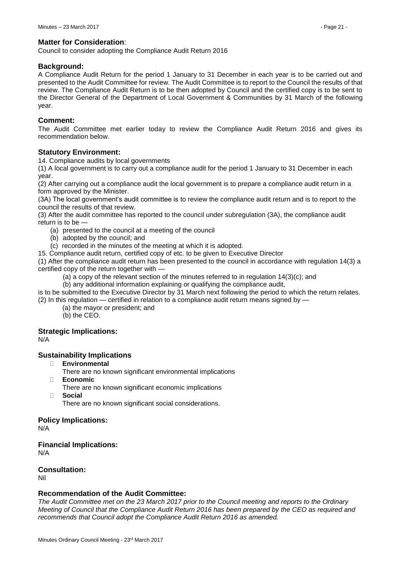# **Matter for Consideration**:

Council to consider adopting the Compliance Audit Return 2016

#### **Background:**

A Compliance Audit Return for the period 1 January to 31 December in each year is to be carried out and presented to the Audit Committee for review. The Audit Committee is to report to the Council the results of that review. The Compliance Audit Return is to be then adopted by Council and the certified copy is to be sent to the Director General of the Department of Local Government & Communities by 31 March of the following year.

#### **Comment:**

The Audit Committee met earlier today to review the Compliance Audit Return 2016 and gives its recommendation below.

#### **Statutory Environment:**

14. Compliance audits by local governments

(1) A local government is to carry out a compliance audit for the period 1 January to 31 December in each year.

(2) After carrying out a compliance audit the local government is to prepare a compliance audit return in a form approved by the Minister.

(3A) The local government's audit committee is to review the compliance audit return and is to report to the council the results of that review.

(3) After the audit committee has reported to the council under subregulation (3A), the compliance audit return is to be —

- (a) presented to the council at a meeting of the council
- (b) adopted by the council; and
- (c) recorded in the minutes of the meeting at which it is adopted.

15. Compliance audit return, certified copy of etc. to be given to Executive Director

(1) After the compliance audit return has been presented to the council in accordance with regulation 14(3) a certified copy of the return together with —

(a) a copy of the relevant section of the minutes referred to in regulation 14(3)(c); and

(b) any additional information explaining or qualifying the compliance audit,

is to be submitted to the Executive Director by 31 March next following the period to which the return relates.

- (2) In this regulation certified in relation to a compliance audit return means signed by
	- (a) the mayor or president; and (b) the CEO.

# **Strategic Implications:**

N/A

# **Sustainability Implications**

- **Environmental**
	- There are no known significant environmental implications
- **Economic**
	- There are no known significant economic implications
- **Social**

There are no known significant social considerations.

# **Policy Implications:**

N/A

# **Financial Implications:**

N/A

# **Consultation:**

Nil

# **Recommendation of the Audit Committee:**

*The Audit Committee met on the 23 March 2017 prior to the Council meeting and reports to the Ordinary Meeting of Council that the Compliance Audit Return 2016 has been prepared by the CEO as required and recommends that Council adopt the Compliance Audit Return 2016 as amended.*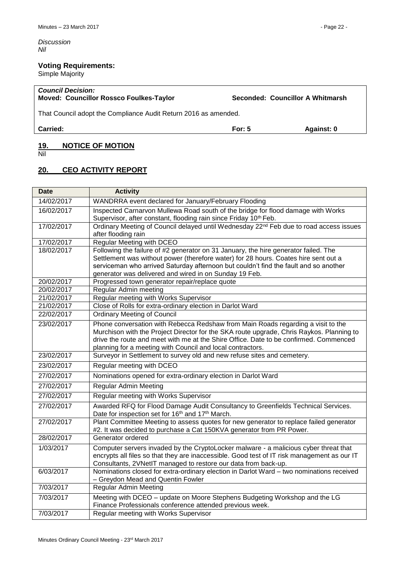*Discussion Nil*

# **Voting Requirements:**

Simple Majority

# *Council Decision:* **Moved: Councillor Rossco Foulkes-Taylor Seconded: Councillor A Whitmarsh**

That Council adopt the Compliance Audit Return 2016 as amended.

**Carried: For: 5 Against: 0**

# <span id="page-21-0"></span>**19. NOTICE OF MOTION**

Nil

# <span id="page-21-1"></span>**20. CEO ACTIVITY REPORT**

| <b>Date</b> | <b>Activity</b>                                                                                                                                                                                                                                                                                                                     |
|-------------|-------------------------------------------------------------------------------------------------------------------------------------------------------------------------------------------------------------------------------------------------------------------------------------------------------------------------------------|
| 14/02/2017  | WANDRRA event declared for January/February Flooding                                                                                                                                                                                                                                                                                |
| 16/02/2017  | Inspected Carnarvon Mullewa Road south of the bridge for flood damage with Works<br>Supervisor, after constant, flooding rain since Friday 10 <sup>th</sup> Feb.                                                                                                                                                                    |
| 17/02/2017  | Ordinary Meeting of Council delayed until Wednesday 22 <sup>nd</sup> Feb due to road access issues<br>after flooding rain                                                                                                                                                                                                           |
| 17/02/2017  | <b>Regular Meeting with DCEO</b>                                                                                                                                                                                                                                                                                                    |
| 18/02/2017  | Following the failure of #2 generator on 31 January, the hire generator failed. The                                                                                                                                                                                                                                                 |
|             | Settlement was without power (therefore water) for 28 hours. Coates hire sent out a                                                                                                                                                                                                                                                 |
|             | serviceman who arrived Saturday afternoon but couldn't find the fault and so another                                                                                                                                                                                                                                                |
| 20/02/2017  | generator was delivered and wired in on Sunday 19 Feb.<br>Progressed town generator repair/replace quote                                                                                                                                                                                                                            |
| 20/02/2017  | Regular Admin meeting                                                                                                                                                                                                                                                                                                               |
| 21/02/2017  | Regular meeting with Works Supervisor                                                                                                                                                                                                                                                                                               |
| 21/02/2017  | Close of Rolls for extra-ordinary election in Darlot Ward                                                                                                                                                                                                                                                                           |
| 22/02/2017  | <b>Ordinary Meeting of Council</b>                                                                                                                                                                                                                                                                                                  |
| 23/02/2017  | Phone conversation with Rebecca Redshaw from Main Roads regarding a visit to the<br>Murchison with the Project Director for the SKA route upgrade, Chris Raykos. Planning to<br>drive the route and meet with me at the Shire Office. Date to be confirmed. Commenced<br>planning for a meeting with Council and local contractors. |
| 23/02/2017  | Surveyor in Settlement to survey old and new refuse sites and cemetery.                                                                                                                                                                                                                                                             |
| 23/02/2017  | Regular meeting with DCEO                                                                                                                                                                                                                                                                                                           |
| 27/02/2017  | Nominations opened for extra-ordinary election in Darlot Ward                                                                                                                                                                                                                                                                       |
| 27/02/2017  | <b>Regular Admin Meeting</b>                                                                                                                                                                                                                                                                                                        |
| 27/02/2017  | Regular meeting with Works Supervisor                                                                                                                                                                                                                                                                                               |
| 27/02/2017  | Awarded RFQ for Flood Damage Audit Consultancy to Greenfields Technical Services.<br>Date for inspection set for 16 <sup>th</sup> and 17 <sup>th</sup> March.                                                                                                                                                                       |
| 27/02/2017  | Plant Committee Meeting to assess quotes for new generator to replace failed generator<br>#2. It was decided to purchase a Cat 150KVA generator from PR Power.                                                                                                                                                                      |
| 28/02/2017  | Generator ordered                                                                                                                                                                                                                                                                                                                   |
| 1/03/2017   | Computer servers invaded by the CryptoLocker malware - a malicious cyber threat that<br>encrypts all files so that they are inaccessible. Good test of IT risk management as our IT<br>Consultants, 2VNetIT managed to restore our data from back-up.                                                                               |
| 6/03/2017   | Nominations closed for extra-ordinary election in Darlot Ward - two nominations received<br>- Greydon Mead and Quentin Fowler                                                                                                                                                                                                       |
| 7/03/2017   | <b>Regular Admin Meeting</b>                                                                                                                                                                                                                                                                                                        |
| 7/03/2017   | Meeting with DCEO - update on Moore Stephens Budgeting Workshop and the LG<br>Finance Professionals conference attended previous week.                                                                                                                                                                                              |
| 7/03/2017   | Regular meeting with Works Supervisor                                                                                                                                                                                                                                                                                               |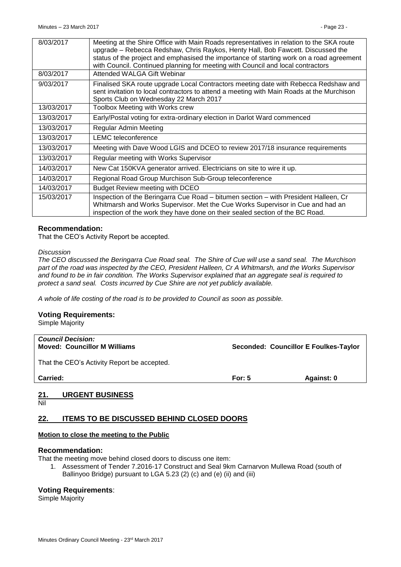| 8/03/2017  | Meeting at the Shire Office with Main Roads representatives in relation to the SKA route                                                                                                                                                                       |
|------------|----------------------------------------------------------------------------------------------------------------------------------------------------------------------------------------------------------------------------------------------------------------|
|            | upgrade - Rebecca Redshaw, Chris Raykos, Henty Hall, Bob Fawcett. Discussed the<br>status of the project and emphasised the importance of starting work on a road agreement<br>with Council. Continued planning for meeting with Council and local contractors |
| 8/03/2017  | Attended WALGA Gift Webinar                                                                                                                                                                                                                                    |
| 9/03/2017  | Finalised SKA route upgrade Local Contractors meeting date with Rebecca Redshaw and<br>sent invitation to local contractors to attend a meeting with Main Roads at the Murchison<br>Sports Club on Wednesday 22 March 2017                                     |
| 13/03/2017 | Toolbox Meeting with Works crew                                                                                                                                                                                                                                |
| 13/03/2017 | Early/Postal voting for extra-ordinary election in Darlot Ward commenced                                                                                                                                                                                       |
| 13/03/2017 | Regular Admin Meeting                                                                                                                                                                                                                                          |
| 13/03/2017 | <b>LEMC</b> teleconference                                                                                                                                                                                                                                     |
| 13/03/2017 | Meeting with Dave Wood LGIS and DCEO to review 2017/18 insurance requirements                                                                                                                                                                                  |
| 13/03/2017 | Regular meeting with Works Supervisor                                                                                                                                                                                                                          |
| 14/03/2017 | New Cat 150KVA generator arrived. Electricians on site to wire it up.                                                                                                                                                                                          |
| 14/03/2017 | Regional Road Group Murchison Sub-Group teleconference                                                                                                                                                                                                         |
| 14/03/2017 | <b>Budget Review meeting with DCEO</b>                                                                                                                                                                                                                         |
| 15/03/2017 | Inspection of the Beringarra Cue Road – bitumen section – with President Halleen, Cr<br>Whitmarsh and Works Supervisor. Met the Cue Works Supervisor in Cue and had an<br>inspection of the work they have done on their sealed section of the BC Road.        |

# **Recommendation:**

That the CEO's Activity Report be accepted.

#### *Discussion*

*The CEO discussed the Beringarra Cue Road seal. The Shire of Cue will use a sand seal. The Murchison part of the road was inspected by the CEO, President Halleen, Cr A Whitmarsh, and the Works Supervisor and found to be in fair condition. The Works Supervisor explained that an aggregate seal is required to protect a sand seal. Costs incurred by Cue Shire are not yet publicly available.*

*A whole of life costing of the road is to be provided to Council as soon as possible.*

# **Voting Requirements:**

Simple Majority

| <b>Council Decision:</b><br><b>Moved: Councillor M Williams</b> |          | Seconded: Councillor E Foulkes-Taylor |
|-----------------------------------------------------------------|----------|---------------------------------------|
| That the CEO's Activity Report be accepted.                     |          |                                       |
| <b>Carried:</b>                                                 | For: $5$ | Against: 0                            |
|                                                                 |          |                                       |

# <span id="page-22-0"></span>**21. URGENT BUSINESS**

Nil

# <span id="page-22-1"></span>**22. ITEMS TO BE DISCUSSED BEHIND CLOSED DOORS**

# **Motion to close the meeting to the Public**

# **Recommendation:**

That the meeting move behind closed doors to discuss one item:

1. Assessment of Tender 7.2016-17 Construct and Seal 9km Carnarvon Mullewa Road (south of Ballinyoo Bridge) pursuant to LGA 5.23 (2) (c) and (e) (ii) and (iii)

# **Voting Requirements**:

Simple Majority